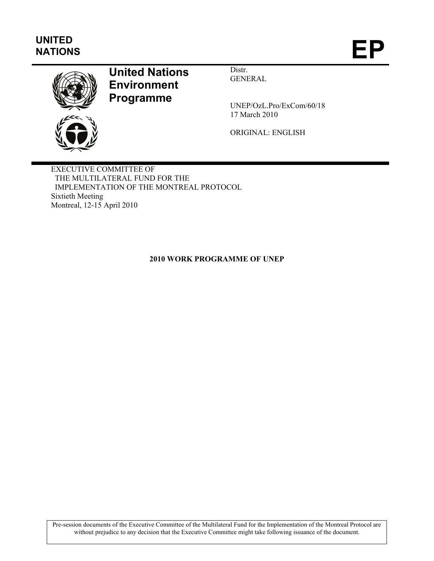# **UNITED**  UNITED<br>NATIONS **EP**



# **United Nations Environment Programme**

Distr. GENERAL

UNEP/OzL.Pro/ExCom/60/18 17 March 2010

ORIGINAL: ENGLISH

EXECUTIVE COMMITTEE OF THE MULTILATERAL FUND FOR THE IMPLEMENTATION OF THE MONTREAL PROTOCOL Sixtieth Meeting Montreal, 12-15 April 2010

# **2010 WORK PROGRAMME OF UNEP**

Pre-session documents of the Executive Committee of the Multilateral Fund for the Implementation of the Montreal Protocol are without prejudice to any decision that the Executive Committee might take following issuance of the document.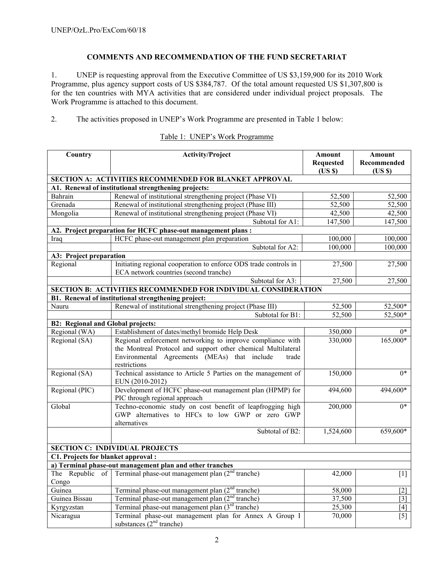## **COMMENTS AND RECOMMENDATION OF THE FUND SECRETARIAT**

1. UNEP is requesting approval from the Executive Committee of US \$3,159,900 for its 2010 Work Programme, plus agency support costs of US \$384,787. Of the total amount requested US \$1,307,800 is for the ten countries with MYA activities that are considered under individual project proposals. The Work Programme is attached to this document.

2. The activities proposed in UNEP's Work Programme are presented in Table 1 below:

| Country                                  | <b>Activity/Project</b>                                                                                       | <b>Amount</b>             | Amount               |
|------------------------------------------|---------------------------------------------------------------------------------------------------------------|---------------------------|----------------------|
|                                          |                                                                                                               | <b>Requested</b><br>(USS) | Recommended<br>(USS) |
|                                          | SECTION A: ACTIVITIES RECOMMENDED FOR BLANKET APPROVAL                                                        |                           |                      |
|                                          | A1. Renewal of institutional strengthening projects:                                                          |                           |                      |
| Bahrain                                  | Renewal of institutional strengthening project (Phase VI)                                                     | 52,500                    | 52,500               |
| Grenada                                  | Renewal of institutional strengthening project (Phase III)                                                    | 52,500                    | 52,500               |
| Mongolia                                 | Renewal of institutional strengthening project (Phase VI)                                                     | 42,500                    | 42,500               |
|                                          | Subtotal for A1:                                                                                              | 147,500                   | 147,500              |
|                                          | A2. Project preparation for HCFC phase-out management plans :                                                 |                           |                      |
| Iraq                                     | HCFC phase-out management plan preparation                                                                    | 100,000                   | 100,000              |
|                                          | Subtotal for A2:                                                                                              | 100,000                   | 100,000              |
| A3: Project preparation                  |                                                                                                               |                           |                      |
| Regional                                 | Initiating regional cooperation to enforce ODS trade controls in                                              | 27,500                    | 27,500               |
|                                          | ECA network countries (second tranche)                                                                        |                           |                      |
|                                          | Subtotal for A3:                                                                                              | 27,500                    | 27,500               |
|                                          | SECTION B: ACTIVITIES RECOMMENDED FOR INDIVIDUAL CONSIDERATION                                                |                           |                      |
|                                          | B1. Renewal of institutional strengthening project:                                                           |                           |                      |
| Nauru                                    | Renewal of institutional strengthening project (Phase III)                                                    | 52,500                    | 52,500*              |
|                                          | Subtotal for B1:                                                                                              | 52,500                    | 52,500*              |
| <b>B2: Regional and Global projects:</b> |                                                                                                               |                           |                      |
| Regional (WA)                            | Establishment of dates/methyl bromide Help Desk                                                               | 350,000                   | $0*$                 |
| Regional (SA)                            | Regional enforcement networking to improve compliance with                                                    | 330,000                   | 165,000*             |
|                                          | the Montreal Protocol and support other chemical Multilateral                                                 |                           |                      |
|                                          | Environmental Agreements (MEAs) that include<br>trade                                                         |                           |                      |
|                                          | restrictions                                                                                                  |                           |                      |
| Regional (SA)                            | Technical assistance to Article 5 Parties on the management of                                                | 150,000                   | $0*$                 |
|                                          | EUN (2010-2012)                                                                                               |                           |                      |
| Regional (PIC)                           | Development of HCFC phase-out management plan (HPMP) for                                                      | 494,600                   | 494,600*             |
| Global                                   | PIC through regional approach                                                                                 |                           | $0*$                 |
|                                          | Techno-economic study on cost benefit of leapfrogging high<br>GWP alternatives to HFCs to low GWP or zero GWP | 200,000                   |                      |
|                                          | alternatives                                                                                                  |                           |                      |
|                                          | Subtotal of B2:                                                                                               | 1,524,600                 | 659,600*             |
|                                          |                                                                                                               |                           |                      |
|                                          | <b>SECTION C: INDIVIDUAL PROJECTS</b>                                                                         |                           |                      |
| C1. Projects for blanket approval :      |                                                                                                               |                           |                      |
|                                          | a) Terminal phase-out management plan and other tranches                                                      |                           |                      |
| The Republic of                          | Terminal phase-out management plan $(2nd$ tranche)                                                            | 42,000                    | $[1]$                |
| Congo                                    |                                                                                                               |                           |                      |
| Guinea                                   | Terminal phase-out management plan $(2nd$ tranche)                                                            | 58,000                    | [2]                  |
| Guinea Bissau                            | Terminal phase-out management plan (2 <sup>nd</sup> tranche)                                                  | 37,500                    | $[3]$                |
| Kyrgyzstan                               | Terminal phase-out management plan $(3rd$ tranche)                                                            | 25,300                    | $[4]$                |
| Nicaragua                                | Terminal phase-out management plan for Annex A Group I                                                        | 70,000                    | $\overline{[5]}$     |
|                                          | substances $(2nd$ tranche)                                                                                    |                           |                      |

### Table 1: UNEP's Work Programme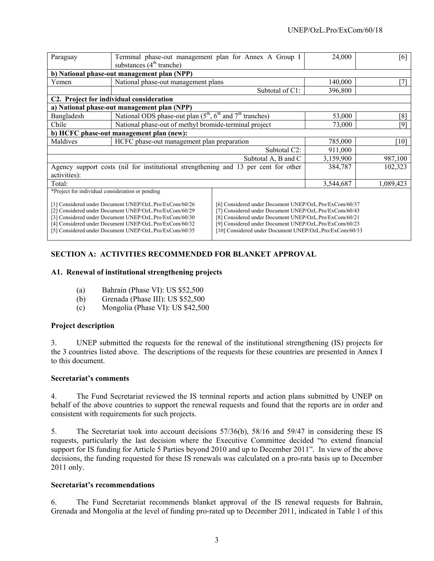| Paraguay                                                                                                                                                                                                                                                                                                                                                                                                                                                                                                                                                                                          | Terminal phase-out management plan for Annex A Group I<br>substances $(4th$ tranche) |                 | 24,000    | [6]       |  |
|---------------------------------------------------------------------------------------------------------------------------------------------------------------------------------------------------------------------------------------------------------------------------------------------------------------------------------------------------------------------------------------------------------------------------------------------------------------------------------------------------------------------------------------------------------------------------------------------------|--------------------------------------------------------------------------------------|-----------------|-----------|-----------|--|
|                                                                                                                                                                                                                                                                                                                                                                                                                                                                                                                                                                                                   | b) National phase-out management plan (NPP)                                          |                 |           |           |  |
| Yemen                                                                                                                                                                                                                                                                                                                                                                                                                                                                                                                                                                                             | National phase-out management plans                                                  |                 | 140,000   | 7         |  |
|                                                                                                                                                                                                                                                                                                                                                                                                                                                                                                                                                                                                   |                                                                                      | Subtotal of C1: | 396,800   |           |  |
|                                                                                                                                                                                                                                                                                                                                                                                                                                                                                                                                                                                                   | C2. Project for individual consideration                                             |                 |           |           |  |
|                                                                                                                                                                                                                                                                                                                                                                                                                                                                                                                                                                                                   | a) National phase-out management plan (NPP)                                          |                 |           |           |  |
| Bangladesh                                                                                                                                                                                                                                                                                                                                                                                                                                                                                                                                                                                        | National ODS phase-out plan $(5^{th}, 6^{th}$ and $7^{th}$ tranches)                 |                 | 53,000    | [8]       |  |
| Chile                                                                                                                                                                                                                                                                                                                                                                                                                                                                                                                                                                                             | National phase-out of methyl bromide-terminal project                                |                 | 73,000    | [9]       |  |
|                                                                                                                                                                                                                                                                                                                                                                                                                                                                                                                                                                                                   | b) HCFC phase-out management plan (new):                                             |                 |           |           |  |
| Maldives                                                                                                                                                                                                                                                                                                                                                                                                                                                                                                                                                                                          | HCFC phase-out management plan preparation                                           |                 | 785,000   | [10]      |  |
| Subtotal C2:                                                                                                                                                                                                                                                                                                                                                                                                                                                                                                                                                                                      |                                                                                      |                 | 911,000   |           |  |
| Subtotal A, B and C                                                                                                                                                                                                                                                                                                                                                                                                                                                                                                                                                                               |                                                                                      |                 | 3,159,900 | 987,100   |  |
| Agency support costs (nil for institutional strengthening and 13 per cent for other                                                                                                                                                                                                                                                                                                                                                                                                                                                                                                               |                                                                                      | 384,787         | 102,323   |           |  |
| activities):                                                                                                                                                                                                                                                                                                                                                                                                                                                                                                                                                                                      |                                                                                      |                 |           |           |  |
| Total:                                                                                                                                                                                                                                                                                                                                                                                                                                                                                                                                                                                            |                                                                                      |                 | 3,544,687 | 1,089,423 |  |
| *Project for individual consideration or pending                                                                                                                                                                                                                                                                                                                                                                                                                                                                                                                                                  |                                                                                      |                 |           |           |  |
| [1] Considered under Document UNEP/OzL.Pro/ExCom/60/26<br>[6] Considered under Document UNEP/OzL.Pro/ExCom/60/37<br>[2] Considered under Document UNEP/OzL.Pro/ExCom/60/29<br>[7] Considered under Document UNEP/OzL.Pro/ExCom/60/43<br>[3] Considered under Document UNEP/OzL.Pro/ExCom/60/30<br>[8] Considered under Document UNEP/OzL.Pro/ExCom/60/21<br>[4] Considered under Document UNEP/OzL.Pro/ExCom/60/32<br>[9] Considered under Document UNEP/OzL.Pro/ExCom/60/23<br>[10] Considered under Document UNEP/OzL.Pro/ExCom/60/33<br>[5] Considered under Document UNEP/OzL.Pro/ExCom/60/35 |                                                                                      |                 |           |           |  |

# **SECTION A: ACTIVITIES RECOMMENDED FOR BLANKET APPROVAL**

#### **A1. Renewal of institutional strengthening projects**

- (a) Bahrain (Phase VI): US \$52,500
- (b) Grenada (Phase III): US \$52,500
- (c) Mongolia (Phase VI): US \$42,500

#### **Project description**

3. UNEP submitted the requests for the renewal of the institutional strengthening (IS) projects for the 3 countries listed above. The descriptions of the requests for these countries are presented in Annex I to this document.

#### **Secretariat's comments**

4. The Fund Secretariat reviewed the IS terminal reports and action plans submitted by UNEP on behalf of the above countries to support the renewal requests and found that the reports are in order and consistent with requirements for such projects.

5. The Secretariat took into account decisions 57/36(b), 58/16 and 59/47 in considering these IS requests, particularly the last decision where the Executive Committee decided "to extend financial support for IS funding for Article 5 Parties beyond 2010 and up to December 2011". In view of the above decisions, the funding requested for these IS renewals was calculated on a pro-rata basis up to December 2011 only.

#### **Secretariat's recommendations**

6. The Fund Secretariat recommends blanket approval of the IS renewal requests for Bahrain, Grenada and Mongolia at the level of funding pro-rated up to December 2011, indicated in Table 1 of this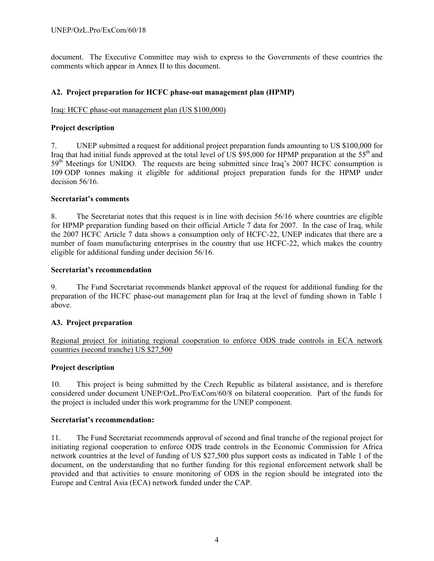document. The Executive Committee may wish to express to the Governments of these countries the comments which appear in Annex II to this document.

#### **A2. Project preparation for HCFC phase-out management plan (HPMP)**

#### Iraq: HCFC phase-out management plan (US \$100,000)

#### **Project description**

7. UNEP submitted a request for additional project preparation funds amounting to US \$100,000 for Iraq that had initial funds approved at the total level of US \$95,000 for HPMP preparation at the 55th and 59<sup>th</sup> Meetings for UNIDO. The requests are being submitted since Iraq's 2007 HCFC consumption is 109 ODP tonnes making it eligible for additional project preparation funds for the HPMP under decision 56/16.

#### **Secretariat's comments**

8. The Secretariat notes that this request is in line with decision 56/16 where countries are eligible for HPMP preparation funding based on their official Article 7 data for 2007. In the case of Iraq, while the 2007 HCFC Article 7 data shows a consumption only of HCFC-22, UNEP indicates that there are a number of foam manufacturing enterprises in the country that use HCFC-22, which makes the country eligible for additional funding under decision 56/16.

#### **Secretariat's recommendation**

9. The Fund Secretariat recommends blanket approval of the request for additional funding for the preparation of the HCFC phase-out management plan for Iraq at the level of funding shown in Table 1 above.

#### **A3. Project preparation**

Regional project for initiating regional cooperation to enforce ODS trade controls in ECA network countries (second tranche) US \$27,500

#### **Project description**

10. This project is being submitted by the Czech Republic as bilateral assistance, and is therefore considered under document UNEP/OzL.Pro/ExCom/60/8 on bilateral cooperation. Part of the funds for the project is included under this work programme for the UNEP component.

#### **Secretariat's recommendation:**

11. The Fund Secretariat recommends approval of second and final tranche of the regional project for initiating regional cooperation to enforce ODS trade controls in the Economic Commission for Africa network countries at the level of funding of US \$27,500 plus support costs as indicated in Table 1 of the document, on the understanding that no further funding for this regional enforcement network shall be provided and that activities to ensure monitoring of ODS in the region should be integrated into the Europe and Central Asia (ECA) network funded under the CAP.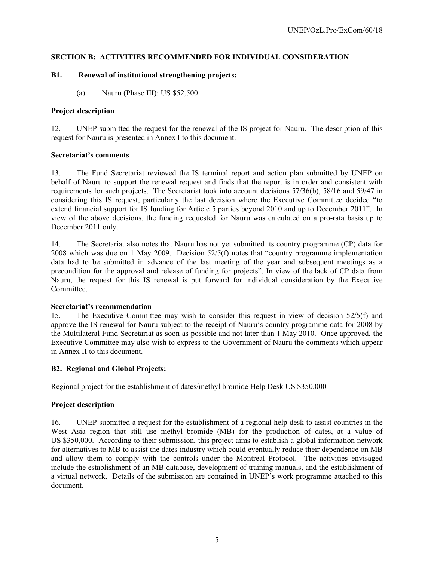# **SECTION B: ACTIVITIES RECOMMENDED FOR INDIVIDUAL CONSIDERATION**

### **B1. Renewal of institutional strengthening projects:**

(a) Nauru (Phase III): US \$52,500

#### **Project description**

12. UNEP submitted the request for the renewal of the IS project for Nauru. The description of this request for Nauru is presented in Annex I to this document.

#### **Secretariat's comments**

13. The Fund Secretariat reviewed the IS terminal report and action plan submitted by UNEP on behalf of Nauru to support the renewal request and finds that the report is in order and consistent with requirements for such projects. The Secretariat took into account decisions 57/36(b), 58/16 and 59/47 in considering this IS request, particularly the last decision where the Executive Committee decided "to extend financial support for IS funding for Article 5 parties beyond 2010 and up to December 2011". In view of the above decisions, the funding requested for Nauru was calculated on a pro-rata basis up to December 2011 only.

14. The Secretariat also notes that Nauru has not yet submitted its country programme (CP) data for 2008 which was due on 1 May 2009. Decision 52/5(f) notes that "country programme implementation data had to be submitted in advance of the last meeting of the year and subsequent meetings as a precondition for the approval and release of funding for projects". In view of the lack of CP data from Nauru, the request for this IS renewal is put forward for individual consideration by the Executive Committee.

#### **Secretariat's recommendation**

15. The Executive Committee may wish to consider this request in view of decision 52/5(f) and approve the IS renewal for Nauru subject to the receipt of Nauru's country programme data for 2008 by the Multilateral Fund Secretariat as soon as possible and not later than 1 May 2010. Once approved, the Executive Committee may also wish to express to the Government of Nauru the comments which appear in Annex II to this document.

# **B2. Regional and Global Projects:**

#### Regional project for the establishment of dates/methyl bromide Help Desk US \$350,000

#### **Project description**

16. UNEP submitted a request for the establishment of a regional help desk to assist countries in the West Asia region that still use methyl bromide (MB) for the production of dates, at a value of US \$350,000. According to their submission, this project aims to establish a global information network for alternatives to MB to assist the dates industry which could eventually reduce their dependence on MB and allow them to comply with the controls under the Montreal Protocol. The activities envisaged include the establishment of an MB database, development of training manuals, and the establishment of a virtual network. Details of the submission are contained in UNEP's work programme attached to this document.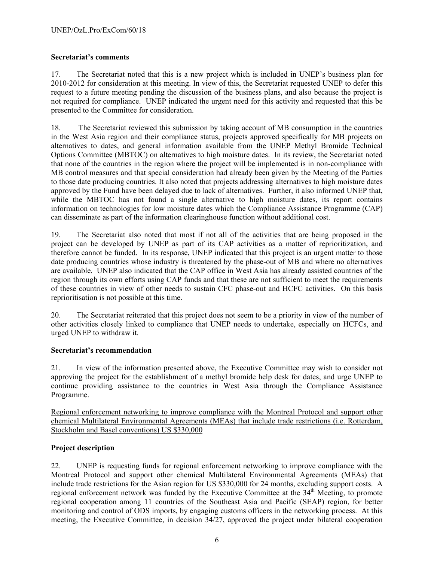### **Secretariat's comments**

17. The Secretariat noted that this is a new project which is included in UNEP's business plan for 2010-2012 for consideration at this meeting. In view of this, the Secretariat requested UNEP to defer this request to a future meeting pending the discussion of the business plans, and also because the project is not required for compliance. UNEP indicated the urgent need for this activity and requested that this be presented to the Committee for consideration.

18. The Secretariat reviewed this submission by taking account of MB consumption in the countries in the West Asia region and their compliance status, projects approved specifically for MB projects on alternatives to dates, and general information available from the UNEP Methyl Bromide Technical Options Committee (MBTOC) on alternatives to high moisture dates. In its review, the Secretariat noted that none of the countries in the region where the project will be implemented is in non-compliance with MB control measures and that special consideration had already been given by the Meeting of the Parties to those date producing countries. It also noted that projects addressing alternatives to high moisture dates approved by the Fund have been delayed due to lack of alternatives. Further, it also informed UNEP that, while the MBTOC has not found a single alternative to high moisture dates, its report contains information on technologies for low moisture dates which the Compliance Assistance Programme (CAP) can disseminate as part of the information clearinghouse function without additional cost.

19. The Secretariat also noted that most if not all of the activities that are being proposed in the project can be developed by UNEP as part of its CAP activities as a matter of reprioritization, and therefore cannot be funded. In its response, UNEP indicated that this project is an urgent matter to those date producing countries whose industry is threatened by the phase-out of MB and where no alternatives are available. UNEP also indicated that the CAP office in West Asia has already assisted countries of the region through its own efforts using CAP funds and that these are not sufficient to meet the requirements of these countries in view of other needs to sustain CFC phase-out and HCFC activities. On this basis reprioritisation is not possible at this time.

20. The Secretariat reiterated that this project does not seem to be a priority in view of the number of other activities closely linked to compliance that UNEP needs to undertake, especially on HCFCs, and urged UNEP to withdraw it.

#### **Secretariat's recommendation**

21. In view of the information presented above, the Executive Committee may wish to consider not approving the project for the establishment of a methyl bromide help desk for dates, and urge UNEP to continue providing assistance to the countries in West Asia through the Compliance Assistance Programme.

Regional enforcement networking to improve compliance with the Montreal Protocol and support other chemical Multilateral Environmental Agreements (MEAs) that include trade restrictions (i.e. Rotterdam, Stockholm and Basel conventions) US \$330,000

# **Project description**

22. UNEP is requesting funds for regional enforcement networking to improve compliance with the Montreal Protocol and support other chemical Multilateral Environmental Agreements (MEAs) that include trade restrictions for the Asian region for US \$330,000 for 24 months, excluding support costs. A regional enforcement network was funded by the Executive Committee at the  $34<sup>th</sup>$  Meeting, to promote regional cooperation among 11 countries of the Southeast Asia and Pacific (SEAP) region, for better monitoring and control of ODS imports, by engaging customs officers in the networking process. At this meeting, the Executive Committee, in decision 34/27, approved the project under bilateral cooperation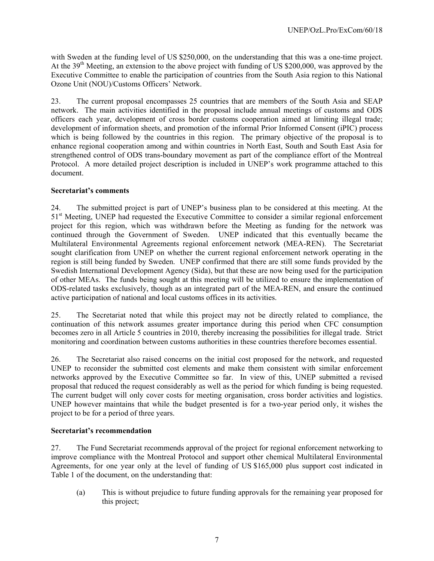with Sweden at the funding level of US \$250,000, on the understanding that this was a one-time project. At the 39<sup>th</sup> Meeting, an extension to the above project with funding of US \$200,000, was approved by the Executive Committee to enable the participation of countries from the South Asia region to this National Ozone Unit (NOU)/Customs Officers' Network.

23. The current proposal encompasses 25 countries that are members of the South Asia and SEAP network. The main activities identified in the proposal include annual meetings of customs and ODS officers each year, development of cross border customs cooperation aimed at limiting illegal trade; development of information sheets, and promotion of the informal Prior Informed Consent (iPIC) process which is being followed by the countries in this region. The primary objective of the proposal is to enhance regional cooperation among and within countries in North East, South and South East Asia for strengthened control of ODS trans-boundary movement as part of the compliance effort of the Montreal Protocol. A more detailed project description is included in UNEP's work programme attached to this document.

#### **Secretariat's comments**

24. The submitted project is part of UNEP's business plan to be considered at this meeting. At the 51<sup>st</sup> Meeting, UNEP had requested the Executive Committee to consider a similar regional enforcement project for this region, which was withdrawn before the Meeting as funding for the network was continued through the Government of Sweden. UNEP indicated that this eventually became the Multilateral Environmental Agreements regional enforcement network (MEA-REN). The Secretariat sought clarification from UNEP on whether the current regional enforcement network operating in the region is still being funded by Sweden. UNEP confirmed that there are still some funds provided by the Swedish International Development Agency (Sida), but that these are now being used for the participation of other MEAs. The funds being sought at this meeting will be utilized to ensure the implementation of ODS-related tasks exclusively, though as an integrated part of the MEA-REN, and ensure the continued active participation of national and local customs offices in its activities.

25. The Secretariat noted that while this project may not be directly related to compliance, the continuation of this network assumes greater importance during this period when CFC consumption becomes zero in all Article 5 countries in 2010, thereby increasing the possibilities for illegal trade. Strict monitoring and coordination between customs authorities in these countries therefore becomes essential.

26. The Secretariat also raised concerns on the initial cost proposed for the network, and requested UNEP to reconsider the submitted cost elements and make them consistent with similar enforcement networks approved by the Executive Committee so far. In view of this, UNEP submitted a revised proposal that reduced the request considerably as well as the period for which funding is being requested. The current budget will only cover costs for meeting organisation, cross border activities and logistics. UNEP however maintains that while the budget presented is for a two-year period only, it wishes the project to be for a period of three years.

#### **Secretariat's recommendation**

27. The Fund Secretariat recommends approval of the project for regional enforcement networking to improve compliance with the Montreal Protocol and support other chemical Multilateral Environmental Agreements, for one year only at the level of funding of US \$165,000 plus support cost indicated in Table 1 of the document, on the understanding that:

(a) This is without prejudice to future funding approvals for the remaining year proposed for this project;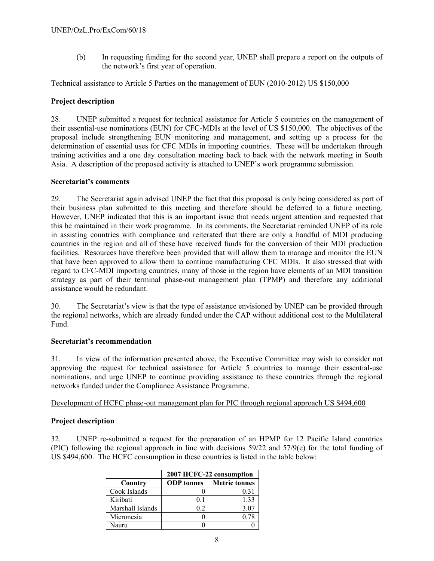(b) In requesting funding for the second year, UNEP shall prepare a report on the outputs of the network's first year of operation.

#### Technical assistance to Article 5 Parties on the management of EUN (2010-2012) US \$150,000

#### **Project description**

28. UNEP submitted a request for technical assistance for Article 5 countries on the management of their essential-use nominations (EUN) for CFC-MDIs at the level of US \$150,000. The objectives of the proposal include strengthening EUN monitoring and management, and setting up a process for the determination of essential uses for CFC MDIs in importing countries. These will be undertaken through training activities and a one day consultation meeting back to back with the network meeting in South Asia. A description of the proposed activity is attached to UNEP's work programme submission.

#### **Secretariat's comments**

29. The Secretariat again advised UNEP the fact that this proposal is only being considered as part of their business plan submitted to this meeting and therefore should be deferred to a future meeting. However, UNEP indicated that this is an important issue that needs urgent attention and requested that this be maintained in their work programme. In its comments, the Secretariat reminded UNEP of its role in assisting countries with compliance and reiterated that there are only a handful of MDI producing countries in the region and all of these have received funds for the conversion of their MDI production facilities. Resources have therefore been provided that will allow them to manage and monitor the EUN that have been approved to allow them to continue manufacturing CFC MDIs. It also stressed that with regard to CFC-MDI importing countries, many of those in the region have elements of an MDI transition strategy as part of their terminal phase-out management plan (TPMP) and therefore any additional assistance would be redundant.

30. The Secretariat's view is that the type of assistance envisioned by UNEP can be provided through the regional networks, which are already funded under the CAP without additional cost to the Multilateral Fund.

#### **Secretariat's recommendation**

31. In view of the information presented above, the Executive Committee may wish to consider not approving the request for technical assistance for Article 5 countries to manage their essential-use nominations, and urge UNEP to continue providing assistance to these countries through the regional networks funded under the Compliance Assistance Programme.

#### Development of HCFC phase-out management plan for PIC through regional approach US \$494,600

#### **Project description**

32. UNEP re-submitted a request for the preparation of an HPMP for 12 Pacific Island countries (PIC) following the regional approach in line with decisions 59/22 and 57/9(e) for the total funding of US \$494,600. The HCFC consumption in these countries is listed in the table below:

|                  | 2007 HCFC-22 consumption |                      |  |
|------------------|--------------------------|----------------------|--|
| Country          | <b>ODP</b> tonnes        | <b>Metric tonnes</b> |  |
| Cook Islands     |                          | 0.31                 |  |
| Kiribati         | 01                       | 1.33                 |  |
| Marshall Islands | 02                       | 3.07                 |  |
| Micronesia       |                          | 0.78                 |  |
| Jauru            |                          |                      |  |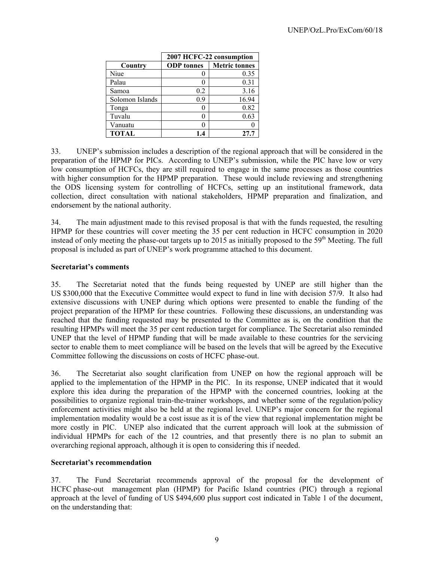|                 | 2007 HCFC-22 consumption |                      |
|-----------------|--------------------------|----------------------|
| Country         | <b>ODP</b> tonnes        | <b>Metric tonnes</b> |
| Niue            |                          | 0.35                 |
| Palau           |                          | 0.31                 |
| Samoa           | 0.2                      | 3.16                 |
| Solomon Islands | 0.9                      | 16.94                |
| Tonga           |                          | 0.82                 |
| Tuvalu          |                          | 0.63                 |
| Vanuatu         |                          |                      |
| <b>TOTAL</b>    |                          | 27.7                 |

33. UNEP's submission includes a description of the regional approach that will be considered in the preparation of the HPMP for PICs. According to UNEP's submission, while the PIC have low or very low consumption of HCFCs, they are still required to engage in the same processes as those countries with higher consumption for the HPMP preparation. These would include reviewing and strengthening the ODS licensing system for controlling of HCFCs, setting up an institutional framework, data collection, direct consultation with national stakeholders, HPMP preparation and finalization, and endorsement by the national authority.

34. The main adjustment made to this revised proposal is that with the funds requested, the resulting HPMP for these countries will cover meeting the 35 per cent reduction in HCFC consumption in 2020 instead of only meeting the phase-out targets up to 2015 as initially proposed to the  $59<sup>th</sup>$  Meeting. The full proposal is included as part of UNEP's work programme attached to this document.

### **Secretariat's comments**

35. The Secretariat noted that the funds being requested by UNEP are still higher than the US \$300,000 that the Executive Committee would expect to fund in line with decision 57/9. It also had extensive discussions with UNEP during which options were presented to enable the funding of the project preparation of the HPMP for these countries. Following these discussions, an understanding was reached that the funding requested may be presented to the Committee as is, on the condition that the resulting HPMPs will meet the 35 per cent reduction target for compliance. The Secretariat also reminded UNEP that the level of HPMP funding that will be made available to these countries for the servicing sector to enable them to meet compliance will be based on the levels that will be agreed by the Executive Committee following the discussions on costs of HCFC phase-out.

36. The Secretariat also sought clarification from UNEP on how the regional approach will be applied to the implementation of the HPMP in the PIC. In its response, UNEP indicated that it would explore this idea during the preparation of the HPMP with the concerned countries, looking at the possibilities to organize regional train-the-trainer workshops, and whether some of the regulation/policy enforcement activities might also be held at the regional level. UNEP's major concern for the regional implementation modality would be a cost issue as it is of the view that regional implementation might be more costly in PIC. UNEP also indicated that the current approach will look at the submission of individual HPMPs for each of the 12 countries, and that presently there is no plan to submit an overarching regional approach, although it is open to considering this if needed.

#### **Secretariat's recommendation**

37. The Fund Secretariat recommends approval of the proposal for the development of HCFC phase-out management plan (HPMP) for Pacific Island countries (PIC) through a regional approach at the level of funding of US \$494,600 plus support cost indicated in Table 1 of the document, on the understanding that: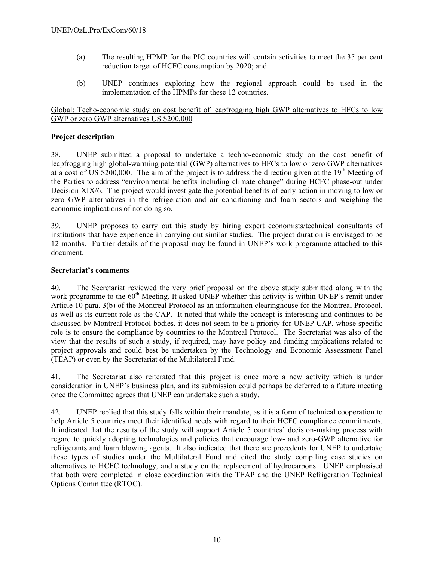- (a) The resulting HPMP for the PIC countries will contain activities to meet the 35 per cent reduction target of HCFC consumption by 2020; and
- (b) UNEP continues exploring how the regional approach could be used in the implementation of the HPMPs for these 12 countries.

## Global: Techo-economic study on cost benefit of leapfrogging high GWP alternatives to HFCs to low GWP or zero GWP alternatives US \$200,000

## **Project description**

38. UNEP submitted a proposal to undertake a techno-economic study on the cost benefit of leapfrogging high global-warming potential (GWP) alternatives to HFCs to low or zero GWP alternatives at a cost of US \$200,000. The aim of the project is to address the direction given at the  $19<sup>th</sup>$  Meeting of the Parties to address "environmental benefits including climate change" during HCFC phase-out under Decision XIX/6. The project would investigate the potential benefits of early action in moving to low or zero GWP alternatives in the refrigeration and air conditioning and foam sectors and weighing the economic implications of not doing so.

39. UNEP proposes to carry out this study by hiring expert economists/technical consultants of institutions that have experience in carrying out similar studies. The project duration is envisaged to be 12 months. Further details of the proposal may be found in UNEP's work programme attached to this document.

#### **Secretariat's comments**

40. The Secretariat reviewed the very brief proposal on the above study submitted along with the work programme to the 60<sup>th</sup> Meeting. It asked UNEP whether this activity is within UNEP's remit under Article 10 para. 3(b) of the Montreal Protocol as an information clearinghouse for the Montreal Protocol, as well as its current role as the CAP. It noted that while the concept is interesting and continues to be discussed by Montreal Protocol bodies, it does not seem to be a priority for UNEP CAP, whose specific role is to ensure the compliance by countries to the Montreal Protocol. The Secretariat was also of the view that the results of such a study, if required, may have policy and funding implications related to project approvals and could best be undertaken by the Technology and Economic Assessment Panel (TEAP) or even by the Secretariat of the Multilateral Fund.

41. The Secretariat also reiterated that this project is once more a new activity which is under consideration in UNEP's business plan, and its submission could perhaps be deferred to a future meeting once the Committee agrees that UNEP can undertake such a study.

42. UNEP replied that this study falls within their mandate, as it is a form of technical cooperation to help Article 5 countries meet their identified needs with regard to their HCFC compliance commitments. It indicated that the results of the study will support Article 5 countries' decision-making process with regard to quickly adopting technologies and policies that encourage low- and zero-GWP alternative for refrigerants and foam blowing agents. It also indicated that there are precedents for UNEP to undertake these types of studies under the Multilateral Fund and cited the study compiling case studies on alternatives to HCFC technology, and a study on the replacement of hydrocarbons. UNEP emphasised that both were completed in close coordination with the TEAP and the UNEP Refrigeration Technical Options Committee (RTOC).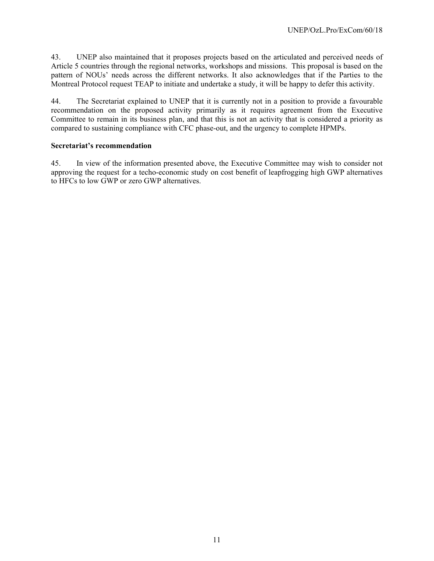43. UNEP also maintained that it proposes projects based on the articulated and perceived needs of Article 5 countries through the regional networks, workshops and missions. This proposal is based on the pattern of NOUs' needs across the different networks. It also acknowledges that if the Parties to the Montreal Protocol request TEAP to initiate and undertake a study, it will be happy to defer this activity.

44. The Secretariat explained to UNEP that it is currently not in a position to provide a favourable recommendation on the proposed activity primarily as it requires agreement from the Executive Committee to remain in its business plan, and that this is not an activity that is considered a priority as compared to sustaining compliance with CFC phase-out, and the urgency to complete HPMPs.

#### **Secretariat's recommendation**

45. In view of the information presented above, the Executive Committee may wish to consider not approving the request for a techo-economic study on cost benefit of leapfrogging high GWP alternatives to HFCs to low GWP or zero GWP alternatives.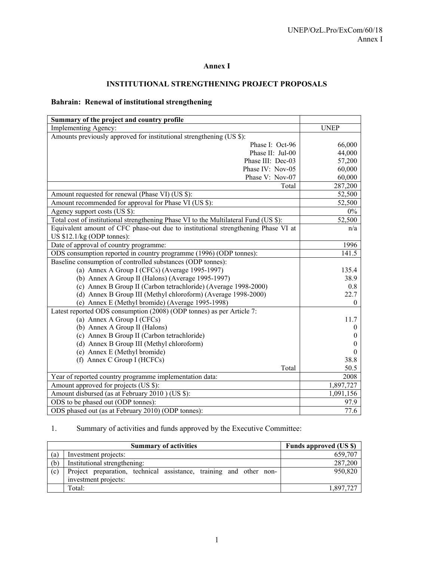# **Annex I**

# **INSTITUTIONAL STRENGTHENING PROJECT PROPOSALS**

# **Bahrain: Renewal of institutional strengthening**

| Summary of the project and country profile                                           |                |
|--------------------------------------------------------------------------------------|----------------|
| Implementing Agency:                                                                 | <b>UNEP</b>    |
| Amounts previously approved for institutional strengthening (US \$):                 |                |
| Phase I: Oct-96                                                                      | 66,000         |
| Phase II: Jul-00                                                                     | 44,000         |
| Phase III: Dec-03                                                                    | 57,200         |
| Phase IV: Nov-05                                                                     | 60,000         |
| Phase V: Nov-07                                                                      | 60,000         |
| Total                                                                                | 287,200        |
| Amount requested for renewal (Phase VI) (US \$):                                     | 52,500         |
| Amount recommended for approval for Phase VI (US \$):                                | 52,500         |
| Agency support costs (US \$):                                                        | $0\%$          |
| Total cost of institutional strengthening Phase VI to the Multilateral Fund (US \$): | 52,500         |
| Equivalent amount of CFC phase-out due to institutional strengthening Phase VI at    | n/a            |
| US \$12.1/kg (ODP tonnes):                                                           |                |
| Date of approval of country programme:                                               | 1996           |
| ODS consumption reported in country programme (1996) (ODP tonnes):                   | 141.5          |
| Baseline consumption of controlled substances (ODP tonnes):                          |                |
| (a) Annex A Group I (CFCs) (Average 1995-1997)                                       | 135.4          |
| (b) Annex A Group II (Halons) (Average 1995-1997)                                    | 38.9           |
| (c) Annex B Group II (Carbon tetrachloride) (Average 1998-2000)                      | 0.8            |
| (d) Annex B Group III (Methyl chloroform) (Average 1998-2000)                        | 22.7           |
| (e) Annex E (Methyl bromide) (Average 1995-1998)                                     | $\overline{0}$ |
| Latest reported ODS consumption (2008) (ODP tonnes) as per Article 7:                |                |
| (a) Annex A Group I (CFCs)                                                           | 11.7           |
| (b) Annex A Group II (Halons)                                                        | $\theta$       |
| (c) Annex B Group II (Carbon tetrachloride)                                          | $\mathbf{0}$   |
| (d) Annex B Group III (Methyl chloroform)                                            | $\theta$       |
| (e) Annex E (Methyl bromide)                                                         | $\theta$       |
| (f) Annex C Group I (HCFCs)                                                          | 38.8           |
| Total                                                                                | 50.5           |
| Year of reported country programme implementation data:                              | 2008           |
| Amount approved for projects (US \$):                                                | 1,897,727      |
| Amount disbursed (as at February 2010) (US \$):                                      | 1,091,156      |
| ODS to be phased out (ODP tonnes):                                                   | 97.9           |
| ODS phased out (as at February 2010) (ODP tonnes):                                   | 77.6           |

# 1. Summary of activities and funds approved by the Executive Committee:

|     | <b>Summary of activities</b>                                       | <b>Funds approved (US \$)</b> |
|-----|--------------------------------------------------------------------|-------------------------------|
| (a) | Investment projects:                                               | 659.707                       |
| (b) | Institutional strengthening:                                       | 287,200                       |
| (c) | Project preparation, technical assistance, training and other non- | 950,820                       |
|     | investment projects:                                               |                               |
|     | Total:                                                             | 1.897.727                     |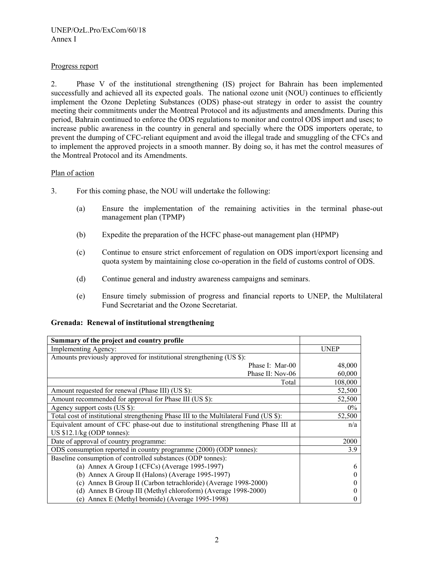#### Progress report

2. Phase V of the institutional strengthening (IS) project for Bahrain has been implemented successfully and achieved all its expected goals. The national ozone unit (NOU) continues to efficiently implement the Ozone Depleting Substances (ODS) phase-out strategy in order to assist the country meeting their commitments under the Montreal Protocol and its adjustments and amendments. During this period, Bahrain continued to enforce the ODS regulations to monitor and control ODS import and uses; to increase public awareness in the country in general and specially where the ODS importers operate, to prevent the dumping of CFC-reliant equipment and avoid the illegal trade and smuggling of the CFCs and to implement the approved projects in a smooth manner. By doing so, it has met the control measures of the Montreal Protocol and its Amendments.

#### Plan of action

- 3. For this coming phase, the NOU will undertake the following:
	- (a) Ensure the implementation of the remaining activities in the terminal phase-out management plan (TPMP)
	- (b) Expedite the preparation of the HCFC phase-out management plan (HPMP)
	- (c) Continue to ensure strict enforcement of regulation on ODS import/export licensing and quota system by maintaining close co-operation in the field of customs control of ODS.
	- (d) Continue general and industry awareness campaigns and seminars.
	- (e) Ensure timely submission of progress and financial reports to UNEP, the Multilateral Fund Secretariat and the Ozone Secretariat.

|  |  | Grenada: Renewal of institutional strengthening |  |
|--|--|-------------------------------------------------|--|
|--|--|-------------------------------------------------|--|

| Summary of the project and country profile                                            |             |
|---------------------------------------------------------------------------------------|-------------|
| Implementing Agency:                                                                  | <b>UNEP</b> |
| Amounts previously approved for institutional strengthening (US \$):                  |             |
| Phase I: Mar-00                                                                       | 48,000      |
| Phase II: Nov-06                                                                      | 60,000      |
| Total                                                                                 | 108,000     |
| Amount requested for renewal (Phase III) (US \$):                                     | 52,500      |
| Amount recommended for approval for Phase III (US \$):                                | 52,500      |
| Agency support costs (US \$):                                                         | $0\%$       |
| Total cost of institutional strengthening Phase III to the Multilateral Fund (US \$): | 52,500      |
| Equivalent amount of CFC phase-out due to institutional strengthening Phase III at    | n/a         |
| US $$12.1/kg$ (ODP tonnes):                                                           |             |
| Date of approval of country programme:                                                | 2000        |
| ODS consumption reported in country programme (2000) (ODP tonnes):                    | 3.9         |
| Baseline consumption of controlled substances (ODP tonnes):                           |             |
| (a) Annex A Group I (CFCs) (Average 1995-1997)                                        | h           |
| (b) Annex A Group II (Halons) (Average 1995-1997)                                     |             |
| (c) Annex B Group II (Carbon tetrachloride) (Average 1998-2000)                       |             |
| (d) Annex B Group III (Methyl chloroform) (Average 1998-2000)                         |             |
| Annex E (Methyl bromide) (Average 1995-1998)<br>(e)                                   |             |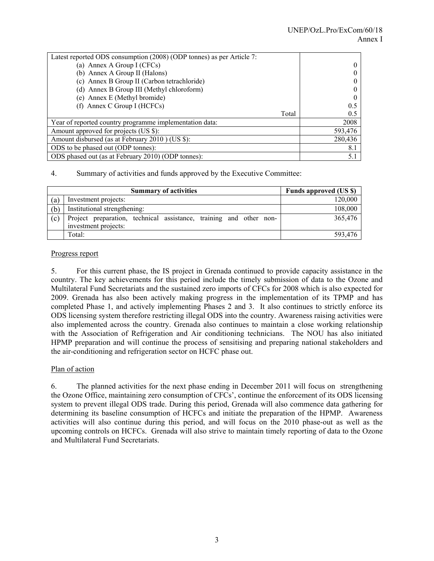| Latest reported ODS consumption (2008) (ODP tonnes) as per Article 7: |         |
|-----------------------------------------------------------------------|---------|
| (a) Annex A Group I (CFCs)                                            |         |
| (b) Annex A Group II (Halons)                                         |         |
| (c) Annex B Group II (Carbon tetrachloride)                           |         |
| (d) Annex B Group III (Methyl chloroform)                             |         |
| (e) Annex E (Methyl bromide)                                          |         |
| (f) Annex C Group I (HCFCs)                                           | 0.5     |
| Total                                                                 | 0.5     |
| Year of reported country programme implementation data:               | 2008    |
| Amount approved for projects (US \$):                                 | 593,476 |
| Amount disbursed (as at February 2010) (US \$):                       | 280,436 |
| ODS to be phased out (ODP tonnes):                                    | 8.1     |
| ODS phased out (as at February 2010) (ODP tonnes):                    | 5.1     |

### 4. Summary of activities and funds approved by the Executive Committee:

|     | <b>Summary of activities</b>                                       | <b>Funds approved (US \$)</b> |
|-----|--------------------------------------------------------------------|-------------------------------|
| (a) | Investment projects:                                               | 120,000                       |
| (b) | Institutional strengthening:                                       | 108,000                       |
| (c) | Project preparation, technical assistance, training and other non- | 365,476                       |
|     | investment projects:                                               |                               |
|     | Total:                                                             | 593.476                       |

#### Progress report

5. For this current phase, the IS project in Grenada continued to provide capacity assistance in the country. The key achievements for this period include the timely submission of data to the Ozone and Multilateral Fund Secretariats and the sustained zero imports of CFCs for 2008 which is also expected for 2009. Grenada has also been actively making progress in the implementation of its TPMP and has completed Phase 1, and actively implementing Phases 2 and 3. It also continues to strictly enforce its ODS licensing system therefore restricting illegal ODS into the country. Awareness raising activities were also implemented across the country. Grenada also continues to maintain a close working relationship with the Association of Refrigeration and Air conditioning technicians. The NOU has also initiated HPMP preparation and will continue the process of sensitising and preparing national stakeholders and the air-conditioning and refrigeration sector on HCFC phase out.

#### Plan of action

6. The planned activities for the next phase ending in December 2011 will focus on strengthening the Ozone Office, maintaining zero consumption of CFCs', continue the enforcement of its ODS licensing system to prevent illegal ODS trade. During this period, Grenada will also commence data gathering for determining its baseline consumption of HCFCs and initiate the preparation of the HPMP. Awareness activities will also continue during this period, and will focus on the 2010 phase-out as well as the upcoming controls on HCFCs. Grenada will also strive to maintain timely reporting of data to the Ozone and Multilateral Fund Secretariats.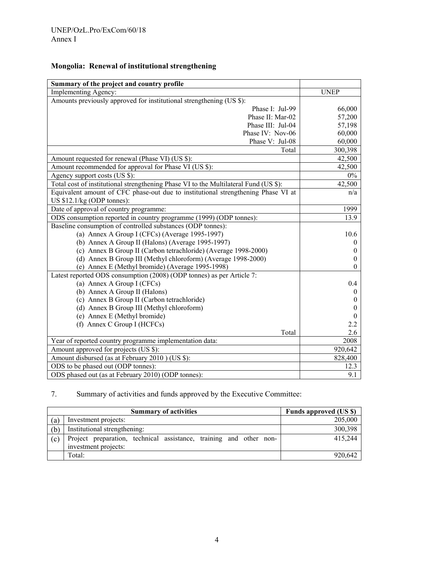# **Mongolia: Renewal of institutional strengthening**

| Summary of the project and country profile                                           |             |
|--------------------------------------------------------------------------------------|-------------|
| Implementing Agency:                                                                 | <b>UNEP</b> |
| Amounts previously approved for institutional strengthening (US \$):                 |             |
| Phase I: Jul-99                                                                      | 66,000      |
| Phase II: Mar-02                                                                     | 57,200      |
| Phase III: Jul-04                                                                    | 57,198      |
| Phase IV: Nov-06                                                                     | 60,000      |
| Phase V: Jul-08                                                                      | 60,000      |
| Total                                                                                | 300,398     |
| Amount requested for renewal (Phase VI) (US \$):                                     | 42,500      |
| Amount recommended for approval for Phase VI (US \$):                                | 42,500      |
| Agency support costs (US \$):                                                        | $0\%$       |
| Total cost of institutional strengthening Phase VI to the Multilateral Fund (US \$): | 42,500      |
| Equivalent amount of CFC phase-out due to institutional strengthening Phase VI at    | n/a         |
| US \$12.1/kg (ODP tonnes):                                                           |             |
| Date of approval of country programme:                                               | 1999        |
| ODS consumption reported in country programme (1999) (ODP tonnes):                   | 13.9        |
| Baseline consumption of controlled substances (ODP tonnes):                          |             |
| (a) Annex A Group I (CFCs) (Average 1995-1997)                                       | 10.6        |
| (b) Annex A Group II (Halons) (Average 1995-1997)                                    | 0           |
| (c) Annex B Group II (Carbon tetrachloride) (Average 1998-2000)                      | 0           |
| (d) Annex B Group III (Methyl chloroform) (Average 1998-2000)                        | 0           |
| (e) Annex E (Methyl bromide) (Average 1995-1998)                                     | 0           |
| Latest reported ODS consumption (2008) (ODP tonnes) as per Article 7:                |             |
| (a) Annex A Group I (CFCs)                                                           | 0.4         |
| (b) Annex A Group II (Halons)                                                        | $\theta$    |
| (c) Annex B Group II (Carbon tetrachloride)                                          | $^{(1)}$    |
| (d) Annex B Group III (Methyl chloroform)                                            | 0           |
| (e) Annex E (Methyl bromide)                                                         | $\theta$    |
| (f) Annex C Group I (HCFCs)                                                          | 2.2         |
| Total                                                                                | 2.6         |
| Year of reported country programme implementation data:                              | 2008        |
| Amount approved for projects (US \$):                                                | 920,642     |
| Amount disbursed (as at February 2010) (US \$):                                      | 828,400     |
| ODS to be phased out (ODP tonnes):                                                   | 12.3        |
| ODS phased out (as at February 2010) (ODP tonnes):                                   | 9.1         |

# 7. Summary of activities and funds approved by the Executive Committee:

|     | <b>Summary of activities</b>                                                               | <b>Funds approved (US \$)</b> |
|-----|--------------------------------------------------------------------------------------------|-------------------------------|
| (a) | Investment projects:                                                                       | 205,000                       |
| (b) | Institutional strengthening:                                                               | 300,398                       |
| (c) | Project preparation, technical assistance, training and other non-<br>investment projects: | 415,244                       |
|     | Total:                                                                                     | 920,642                       |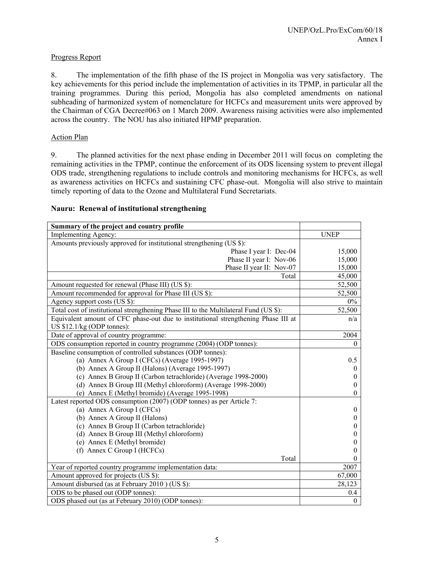#### Progress Report

8. The implementation of the fifth phase of the IS project in Mongolia was very satisfactory. The key achievements for this period include the implementation of activities in its TPMP, in particular all the training programmes. During this period, Mongolia has also completed amendments on national subheading of harmonized system of nomenclature for HCFCs and measurement units were approved by the Chairman of CGA Decree#063 on 1 March 2009. Awareness raising activities were also implemented across the country. The NOU has also initiated HPMP preparation.

#### Action Plan

9. The planned activities for the next phase ending in December 2011 will focus on completing the remaining activities in the TPMP, continue the enforcement of its ODS licensing system to prevent illegal ODS trade, strengthening regulations to include controls and monitoring mechanisms for HCFCs, as well as awareness activities on HCFCs and sustaining CFC phase-out. Mongolia will also strive to maintain timely reporting of data to the Ozone and Multilateral Fund Secretariats.

#### **Summary of the project and country profile**  Implementing Agency: UNEP Amounts previously approved for institutional strengthening (US \$): Phase I year I: Dec-04 15,000 Phase II year I: Nov-06  $15,000$ Phase II year II:  $\text{Nov-07}$  15,000 Total 45,000 Amount requested for renewal (Phase III) (US \$): 52,500 Amount recommended for approval for Phase III (US \$): 52,500 Agency support costs (US \$): 0%<br>Total cost of institutional strengthening Phase III to the Multilateral Fund (US \$): 52,500 Total cost of institutional strengthening Phase III to the Multilateral Fund (US \$): Equivalent amount of CFC phase-out due to institutional strengthening Phase III at US \$12.1/kg (ODP tonnes): n/a Date of approval of country programme: 2004 ODS consumption reported in country programme (2004) (ODP tonnes): 0 Baseline consumption of controlled substances (ODP tonnes): (a) Annex A Group I (CFCs) (Average 1995-1997) 0.5 (b) Annex A Group II (Halons) (Average 1995-1997) 0 (c) Annex B Group II (Carbon tetrachloride) (Average 1998-2000) 0 (d) Annex B Group III (Methyl chloroform) (Average 1998-2000) 0 (e) Annex E (Methyl bromide) (Average 1995-1998) 0 Latest reported ODS consumption (2007) (ODP tonnes) as per Article 7: (a) Annex A Group I (CFCs) 0 (b) Annex A Group II (Halons) 0 (c) Annex B Group II (Carbon tetrachloride) 0 (d) Annex B Group III (Methyl chloroform) 0 (e) Annex E (Methyl bromide) 0 (f) Annex C Group I (HCFCs) 0 Total 0 Year of reported country programme implementation data: 2007 Amount approved for projects (US \$): 67,000 Amount disbursed (as at February 2010 ) (US \$): 28,123 ODS to be phased out (ODP tonnes): 0.4

#### **Nauru: Renewal of institutional strengthening**

ODS phased out (as at February 2010) (ODP tonnes): 0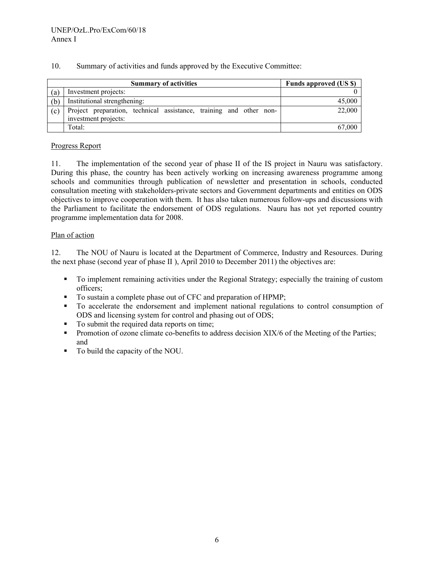| Summary of activities and funds approved by the Executive Committee:<br>10. |
|-----------------------------------------------------------------------------|
|-----------------------------------------------------------------------------|

|     | <b>Summary of activities</b>                                                               | Funds approved (US \$) |
|-----|--------------------------------------------------------------------------------------------|------------------------|
| (a) | Investment projects:                                                                       |                        |
| (b) | Institutional strengthening:                                                               | 45,000                 |
| (c) | Project preparation, technical assistance, training and other non-<br>investment projects: | 22,000                 |
|     | Total:                                                                                     | 67,000                 |

### Progress Report

11. The implementation of the second year of phase II of the IS project in Nauru was satisfactory. During this phase, the country has been actively working on increasing awareness programme among schools and communities through publication of newsletter and presentation in schools, conducted consultation meeting with stakeholders-private sectors and Government departments and entities on ODS objectives to improve cooperation with them. It has also taken numerous follow-ups and discussions with the Parliament to facilitate the endorsement of ODS regulations. Nauru has not yet reported country programme implementation data for 2008.

### Plan of action

12. The NOU of Nauru is located at the Department of Commerce, Industry and Resources. During the next phase (second year of phase II ), April 2010 to December 2011) the objectives are:

- To implement remaining activities under the Regional Strategy; especially the training of custom officers;
- To sustain a complete phase out of CFC and preparation of HPMP;
- To accelerate the endorsement and implement national regulations to control consumption of ODS and licensing system for control and phasing out of ODS;
- To submit the required data reports on time:
- **Promotion of ozone climate co-benefits to address decision XIX/6 of the Meeting of the Parties;** and
- To build the capacity of the NOU.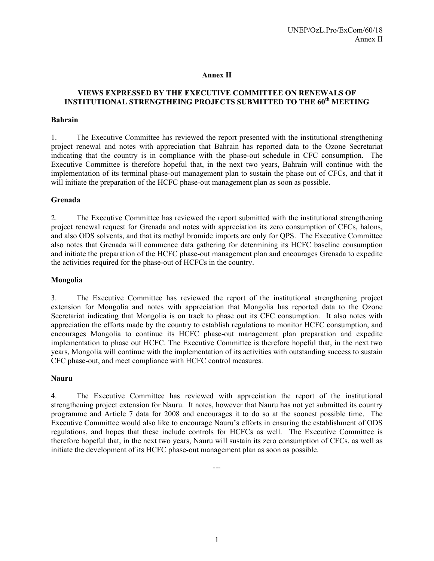#### **Annex II**

# **VIEWS EXPRESSED BY THE EXECUTIVE COMMITTEE ON RENEWALS OF INSTITUTIONAL STRENGTHEING PROJECTS SUBMITTED TO THE 60th MEETING**

#### **Bahrain**

1. The Executive Committee has reviewed the report presented with the institutional strengthening project renewal and notes with appreciation that Bahrain has reported data to the Ozone Secretariat indicating that the country is in compliance with the phase-out schedule in CFC consumption. The Executive Committee is therefore hopeful that, in the next two years, Bahrain will continue with the implementation of its terminal phase-out management plan to sustain the phase out of CFCs, and that it will initiate the preparation of the HCFC phase-out management plan as soon as possible.

#### **Grenada**

2. The Executive Committee has reviewed the report submitted with the institutional strengthening project renewal request for Grenada and notes with appreciation its zero consumption of CFCs, halons, and also ODS solvents, and that its methyl bromide imports are only for QPS. The Executive Committee also notes that Grenada will commence data gathering for determining its HCFC baseline consumption and initiate the preparation of the HCFC phase-out management plan and encourages Grenada to expedite the activities required for the phase-out of HCFCs in the country.

#### **Mongolia**

3. The Executive Committee has reviewed the report of the institutional strengthening project extension for Mongolia and notes with appreciation that Mongolia has reported data to the Ozone Secretariat indicating that Mongolia is on track to phase out its CFC consumption. It also notes with appreciation the efforts made by the country to establish regulations to monitor HCFC consumption, and encourages Mongolia to continue its HCFC phase-out management plan preparation and expedite implementation to phase out HCFC. The Executive Committee is therefore hopeful that, in the next two years, Mongolia will continue with the implementation of its activities with outstanding success to sustain CFC phase-out, and meet compliance with HCFC control measures.

#### **Nauru**

4. The Executive Committee has reviewed with appreciation the report of the institutional strengthening project extension for Nauru. It notes, however that Nauru has not yet submitted its country programme and Article 7 data for 2008 and encourages it to do so at the soonest possible time. The Executive Committee would also like to encourage Nauru's efforts in ensuring the establishment of ODS regulations, and hopes that these include controls for HCFCs as well. The Executive Committee is therefore hopeful that, in the next two years, Nauru will sustain its zero consumption of CFCs, as well as initiate the development of its HCFC phase-out management plan as soon as possible.

---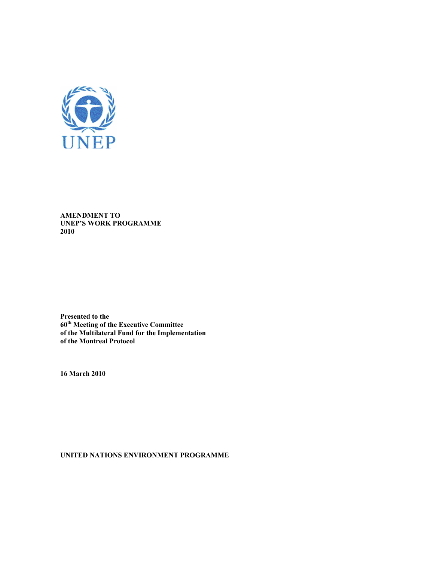

**AMENDMENT TO UNEP'S WORK PROGRAMME 2010** 

**Presented to the 60th Meeting of the Executive Committee of the Multilateral Fund for the Implementation of the Montreal Protocol** 

**16 March 2010** 

**UNITED NATIONS ENVIRONMENT PROGRAMME**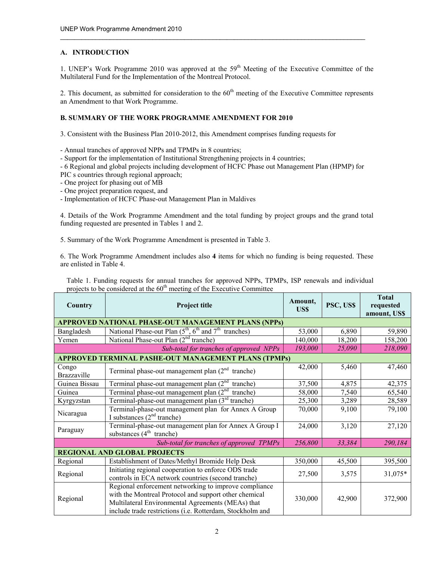#### **A. INTRODUCTION**

1. UNEP's Work Programme 2010 was approved at the  $59<sup>th</sup>$  Meeting of the Executive Committee of the Multilateral Fund for the Implementation of the Montreal Protocol.

 $\_$  . The contribution of the contribution of the contribution of the contribution of the contribution of the contribution of the contribution of the contribution of the contribution of the contribution of the contributio

2. This document, as submitted for consideration to the  $60<sup>th</sup>$  meeting of the Executive Committee represents an Amendment to that Work Programme.

#### **B. SUMMARY OF THE WORK PROGRAMME AMENDMENT FOR 2010**

3. Consistent with the Business Plan 2010-2012, this Amendment comprises funding requests for

- Annual tranches of approved NPPs and TPMPs in 8 countries;

- Support for the implementation of Institutional Strengthening projects in 4 countries;

- 6 Regional and global projects including development of HCFC Phase out Management Plan (HPMP) for

- PIC s countries through regional approach;
- One project for phasing out of MB
- One project preparation request, and
- Implementation of HCFC Phase-out Management Plan in Maldives

4. Details of the Work Programme Amendment and the total funding by project groups and the grand total funding requested are presented in Tables 1 and 2.

5. Summary of the Work Programme Amendment is presented in Table 3.

6. The Work Programme Amendment includes also **4** items for which no funding is being requested. These are enlisted in Table 4.

Table 1. Funding requests for annual tranches for approved NPPs, TPMPs, ISP renewals and individual projects to be considered at the 60<sup>th</sup> meeting of the Executive Committee

| Country                             | Project title                                                                                                                                                                                                                    | Amount,<br>US\$ | PSC, US\$ | <b>Total</b><br>requested<br>amount, US\$ |  |
|-------------------------------------|----------------------------------------------------------------------------------------------------------------------------------------------------------------------------------------------------------------------------------|-----------------|-----------|-------------------------------------------|--|
|                                     | APPROVED NATIONAL PHASE-OUT MANAGEMENT PLANS (NPPs)                                                                                                                                                                              |                 |           |                                           |  |
| Bangladesh                          | National Phase-out Plan (5 <sup>th</sup> , 6 <sup>th</sup> and 7 <sup>th</sup><br>tranches)                                                                                                                                      | 53,000          | 6,890     | 59,890                                    |  |
| Yemen                               | National Phase-out Plan (2 <sup>nd</sup> tranche)                                                                                                                                                                                | 140,000         | 18,200    | 158,200                                   |  |
|                                     | Sub-total for tranches of approved NPPs                                                                                                                                                                                          | 193,000         | 25,090    | 218,090                                   |  |
|                                     | APPROVED TERMINAL PASHE-OUT MANAGEMENT PLANS (TPMPs)                                                                                                                                                                             |                 |           |                                           |  |
| Congo<br>Brazzaville                | Terminal phase-out management plan $(2nd$ tranche)                                                                                                                                                                               | 42,000          | 5,460     | 47,460                                    |  |
| Guinea Bissau                       | Terminal phase-out management plan $(2^{nd}$<br>tranche)                                                                                                                                                                         | 37,500          | 4,875     | 42,375                                    |  |
| Guinea                              | Terminal phase-out management plan $(2nd$<br>tranche)                                                                                                                                                                            | 58,000          | 7,540     | 65,540                                    |  |
| Kyrgyzstan                          | Terminal-phase-out management plan (3 <sup>rd</sup> tranche)                                                                                                                                                                     | 25,300          | 3,289     | 28,589                                    |  |
| Nicaragua                           | Terminal-phase-out management plan for Annex A Group<br>I substances $(2nd tranche)$                                                                                                                                             | 70,000          | 9,100     | 79,100                                    |  |
| Paraguay                            | Terminal-phase-out management plan for Annex A Group I<br>substances $(4th$ tranche)                                                                                                                                             | 24,000          | 3,120     | 27,120                                    |  |
|                                     | Sub-total for tranches of approved TPMPs                                                                                                                                                                                         | 256,800         | 33,384    | 290,184                                   |  |
| <b>REGIONAL AND GLOBAL PROJECTS</b> |                                                                                                                                                                                                                                  |                 |           |                                           |  |
| Regional                            | Establishment of Dates/Methyl Bromide Help Desk                                                                                                                                                                                  | 350,000         | 45,500    | 395,500                                   |  |
| Regional                            | Initiating regional cooperation to enforce ODS trade<br>controls in ECA network countries (second tranche)                                                                                                                       | 27,500          | 3,575     | 31,075*                                   |  |
| Regional                            | Regional enforcement networking to improve compliance<br>with the Montreal Protocol and support other chemical<br>Multilateral Environmental Agreements (MEAs) that<br>include trade restrictions (i.e. Rotterdam, Stockholm and | 330,000         | 42,900    | 372,900                                   |  |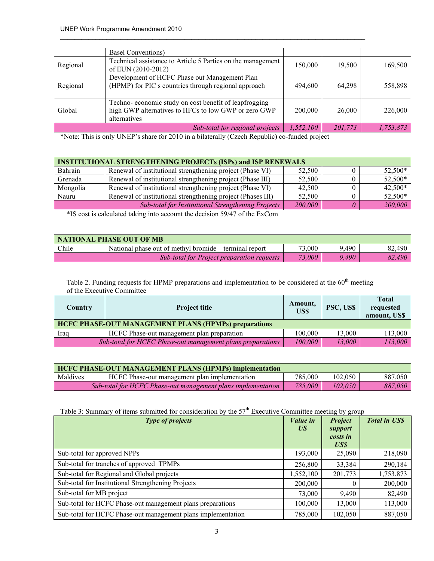|          | <b>Basel Conventions</b> )                                                                                                    |           |         |           |
|----------|-------------------------------------------------------------------------------------------------------------------------------|-----------|---------|-----------|
| Regional | Technical assistance to Article 5 Parties on the management<br>of EUN (2010-2012)                                             | 150,000   | 19,500  | 169,500   |
| Regional | Development of HCFC Phase out Management Plan<br>(HPMP) for PIC s countries through regional approach                         | 494,600   | 64.298  | 558,898   |
| Global   | Techno-economic study on cost benefit of leapfrogging<br>high GWP alternatives to HFCs to low GWP or zero GWP<br>alternatives | 200,000   | 26,000  | 226,000   |
|          | Sub-total for regional projects                                                                                               | 1,552,100 | 201,773 | 1,753,873 |

\*Note: This is only UNEP's share for 2010 in a bilaterally (Czech Republic) co-funded project

| <b>INSTITUTIONAL STRENGTHENING PROJECTs (ISPs) and ISP RENEWALS</b> |                                                             |        |  |         |
|---------------------------------------------------------------------|-------------------------------------------------------------|--------|--|---------|
| Bahrain                                                             | Renewal of institutional strengthening project (Phase VI)   | 52.500 |  | 52,500* |
| Grenada                                                             | Renewal of institutional strengthening project (Phase III)  | 52,500 |  | 52,500* |
| Mongolia                                                            | Renewal of institutional strengthening project (Phase VI)   | 42,500 |  | 42,500* |
| Nauru                                                               | Renewal of institutional strengthening project (Phases III) | 52,500 |  | 52,500* |
|                                                                     | Sub-total for Institutional Strengthening Projects          |        |  | 200,000 |

\*IS cost is calculated taking into account the decision 59/47 of the ExCom

| <b>NATIONAL PHASE OUT OF MB</b> |                                                        |        |       |        |
|---------------------------------|--------------------------------------------------------|--------|-------|--------|
| Chile                           | National phase out of methyl bromide – terminal report | 73,000 | 9,490 | 82,490 |
|                                 | <b>Sub-total for Project preparation requests</b>      | 73,000 | 9.490 | 82,490 |

Table 2. Funding requests for HPMP preparations and implementation to be considered at the 60<sup>th</sup> meeting of the Executive Committee

| Country                                                                         | <b>Project title</b>                       | Amount,<br>US\$ | PSC, US\$ | <b>Total</b><br>requested<br>amount, US\$ |  |
|---------------------------------------------------------------------------------|--------------------------------------------|-----------------|-----------|-------------------------------------------|--|
| <b>HCFC PHASE-OUT MANAGEMENT PLANS (HPMPs) preparations</b>                     |                                            |                 |           |                                           |  |
| Iraq                                                                            | HCFC Phase-out management plan preparation | 100.000         | 13.000    | 113,000                                   |  |
| 13.000<br>100.000<br>Sub-total for HCFC Phase-out management plans preparations |                                            |                 |           |                                           |  |

| <b>HCFC PHASE-OUT MANAGEMENT PLANS (HPMPs) implementation</b>           |                                               |         |         |         |  |
|-------------------------------------------------------------------------|-----------------------------------------------|---------|---------|---------|--|
| Maldives                                                                | HCFC Phase-out management plan implementation | 785,000 | 102.050 | 887,050 |  |
| 785,000<br>Sub-total for HCFC Phase-out management plans implementation |                                               |         | 102,050 | 887.050 |  |

Table 3: Summary of items submitted for consideration by the 57<sup>th</sup> Executive Committee meeting by group

| Type of projects                                             | Value in<br>US <sup>-</sup> | <b>Project</b><br>support<br>costs in<br>US\$ | <b>Total in US\$</b> |
|--------------------------------------------------------------|-----------------------------|-----------------------------------------------|----------------------|
| Sub-total for approved NPPs                                  | 193,000                     | 25,090                                        | 218,090              |
| Sub-total for tranches of approved TPMPs                     | 256,800                     | 33,384                                        | 290,184              |
| Sub-total for Regional and Global projects                   | 1,552,100                   | 201,773                                       | 1,753,873            |
| Sub-total for Institutional Strengthening Projects           | 200,000                     |                                               | 200,000              |
| Sub-total for MB project                                     | 73,000                      | 9,490                                         | 82,490               |
| Sub-total for HCFC Phase-out management plans preparations   | 100,000                     | 13,000                                        | 113,000              |
| Sub-total for HCFC Phase-out management plans implementation | 785,000                     | 102,050                                       | 887,050              |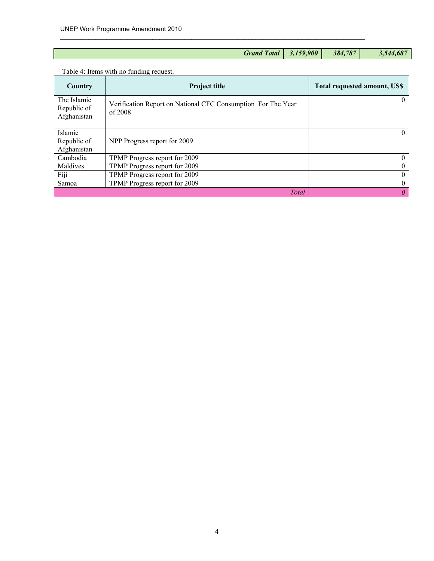| Grand Total 3,159,900 |         |           |
|-----------------------|---------|-----------|
|                       | 384,787 | 3,544,687 |

# Table 4: Items with no funding request.

| Country                                   | <b>Project title</b>                                                      | <b>Total requested amount, US\$</b> |
|-------------------------------------------|---------------------------------------------------------------------------|-------------------------------------|
| The Islamic<br>Republic of<br>Afghanistan | Verification Report on National CFC Consumption For The Year<br>of $2008$ | $\theta$                            |
| Islamic                                   |                                                                           | $\theta$                            |
| Republic of                               | NPP Progress report for 2009                                              |                                     |
| Afghanistan                               |                                                                           |                                     |
| Cambodia                                  | TPMP Progress report for 2009                                             |                                     |
| Maldives                                  | TPMP Progress report for 2009                                             | $^{(1)}$                            |
| Fiji                                      | TPMP Progress report for 2009                                             | $\Omega$                            |
| Samoa                                     | TPMP Progress report for 2009                                             | $\Omega$                            |
|                                           | Total                                                                     | 0                                   |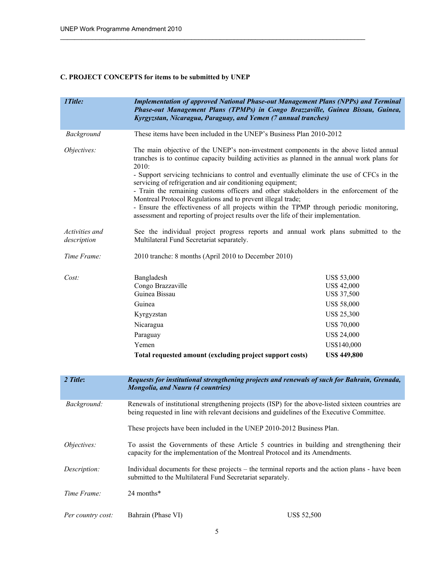# **C. PROJECT CONCEPTS for items to be submitted by UNEP**

| 1Title:                       | <b>Implementation of approved National Phase-out Management Plans (NPPs) and Terminal</b><br>Phase-out Management Plans (TPMPs) in Congo Brazzaville, Guinea Bissau, Guinea,<br>Kyrgyzstan, Nicaragua, Paraguay, and Yemen (7 annual tranches)                                                                                                                                                                                                                                                      |                                                  |  |  |  |
|-------------------------------|-----------------------------------------------------------------------------------------------------------------------------------------------------------------------------------------------------------------------------------------------------------------------------------------------------------------------------------------------------------------------------------------------------------------------------------------------------------------------------------------------------|--------------------------------------------------|--|--|--|
| Background                    | These items have been included in the UNEP's Business Plan 2010-2012                                                                                                                                                                                                                                                                                                                                                                                                                                |                                                  |  |  |  |
| Objectives:                   | The main objective of the UNEP's non-investment components in the above listed annual<br>tranches is to continue capacity building activities as planned in the annual work plans for<br>2010:                                                                                                                                                                                                                                                                                                      |                                                  |  |  |  |
|                               | - Support servicing technicians to control and eventually eliminate the use of CFCs in the<br>servicing of refrigeration and air conditioning equipment;<br>- Train the remaining customs officers and other stakeholders in the enforcement of the<br>Montreal Protocol Regulations and to prevent illegal trade;<br>- Ensure the effectiveness of all projects within the TPMP through periodic monitoring,<br>assessment and reporting of project results over the life of their implementation. |                                                  |  |  |  |
| Activities and<br>description | See the individual project progress reports and annual work plans submitted to the<br>Multilateral Fund Secretariat separately.                                                                                                                                                                                                                                                                                                                                                                     |                                                  |  |  |  |
| Time Frame:                   | 2010 tranche: 8 months (April 2010 to December 2010)                                                                                                                                                                                                                                                                                                                                                                                                                                                |                                                  |  |  |  |
| Cost:                         | Bangladesh<br>Congo Brazzaville<br>Guinea Bissau                                                                                                                                                                                                                                                                                                                                                                                                                                                    | US\$ 53,000<br>US\$ 42,000<br><b>US\$ 37,500</b> |  |  |  |
|                               | Guinea                                                                                                                                                                                                                                                                                                                                                                                                                                                                                              | <b>US\$ 58,000</b>                               |  |  |  |
|                               | Kyrgyzstan                                                                                                                                                                                                                                                                                                                                                                                                                                                                                          | <b>US\$ 25,300</b>                               |  |  |  |
|                               | Nicaragua                                                                                                                                                                                                                                                                                                                                                                                                                                                                                           | <b>US\$ 70,000</b>                               |  |  |  |
|                               | Paraguay                                                                                                                                                                                                                                                                                                                                                                                                                                                                                            | <b>US\$ 24,000</b>                               |  |  |  |
|                               | Yemen                                                                                                                                                                                                                                                                                                                                                                                                                                                                                               | US\$140,000                                      |  |  |  |
|                               | Total requested amount (excluding project support costs)                                                                                                                                                                                                                                                                                                                                                                                                                                            | <b>US\$ 449,800</b>                              |  |  |  |
|                               |                                                                                                                                                                                                                                                                                                                                                                                                                                                                                                     |                                                  |  |  |  |
| 2 Title:                      | Requests for institutional strengthening projects and renewals of such for Bahrain, Grenada,<br>Mongolia, and Nauru (4 countries)                                                                                                                                                                                                                                                                                                                                                                   |                                                  |  |  |  |
| Background:                   | Renewals of institutional strengthening projects (ISP) for the above-listed sixteen countries are<br>being requested in line with relevant decisions and guidelines of the Executive Committee.                                                                                                                                                                                                                                                                                                     |                                                  |  |  |  |
|                               | These projects have been included in the UNEP 2010-2012 Business Plan.                                                                                                                                                                                                                                                                                                                                                                                                                              |                                                  |  |  |  |
| Objectives:                   | To assist the Governments of these Article 5 countries in building and strengthening their<br>capacity for the implementation of the Montreal Protocol and its Amendments.                                                                                                                                                                                                                                                                                                                          |                                                  |  |  |  |
| Description:                  | Individual documents for these projects – the terminal reports and the action plans - have been<br>submitted to the Multilateral Fund Secretariat separately.                                                                                                                                                                                                                                                                                                                                       |                                                  |  |  |  |
| Time Frame:                   | 24 months*                                                                                                                                                                                                                                                                                                                                                                                                                                                                                          |                                                  |  |  |  |
| Per country cost:             | Bahrain (Phase VI)                                                                                                                                                                                                                                                                                                                                                                                                                                                                                  | <b>US\$ 52,500</b>                               |  |  |  |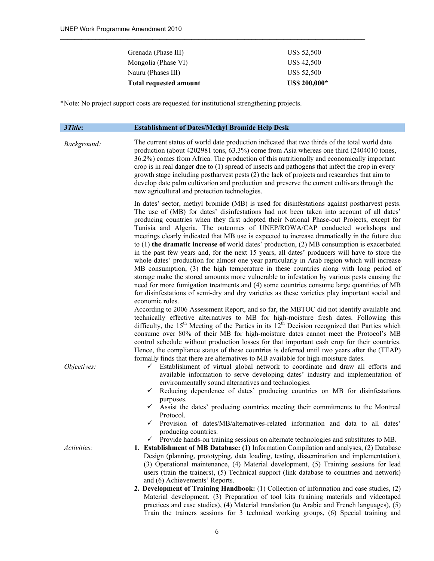| Grenada (Phase III)           | US\$ 52,500        |
|-------------------------------|--------------------|
| Mongolia (Phase VI)           | <b>US\$ 42,500</b> |
| Nauru (Phases III)            | US\$ 52,500        |
| <b>Total requested amount</b> | US\$ 200,000*      |

\*Note: No project support costs are requested for institutional strengthening projects.

| 3Title:     | <b>Establishment of Dates/Methyl Bromide Help Desk</b>                                                                                                                                                                                                                                                                                                                                                                                                                                                                                                                                                                                                                                                                                                                                                                                                                                                                                                                                                                                                                                                                                                                                                                                                                                                                                                                                                                                                                                                                                                                                                                                                                           |
|-------------|----------------------------------------------------------------------------------------------------------------------------------------------------------------------------------------------------------------------------------------------------------------------------------------------------------------------------------------------------------------------------------------------------------------------------------------------------------------------------------------------------------------------------------------------------------------------------------------------------------------------------------------------------------------------------------------------------------------------------------------------------------------------------------------------------------------------------------------------------------------------------------------------------------------------------------------------------------------------------------------------------------------------------------------------------------------------------------------------------------------------------------------------------------------------------------------------------------------------------------------------------------------------------------------------------------------------------------------------------------------------------------------------------------------------------------------------------------------------------------------------------------------------------------------------------------------------------------------------------------------------------------------------------------------------------------|
| Background: | The current status of world date production indicated that two thirds of the total world date<br>production (about 4202981 tons, 63.3%) come from Asia whereas one third (2404010 tones,<br>36.2%) comes from Africa. The production of this nutritionally and economically important<br>crop is in real danger due to (1) spread of insects and pathogens that infect the crop in every<br>growth stage including postharvest pests (2) the lack of projects and researches that aim to<br>develop date palm cultivation and production and preserve the current cultivars through the<br>new agricultural and protection technologies.                                                                                                                                                                                                                                                                                                                                                                                                                                                                                                                                                                                                                                                                                                                                                                                                                                                                                                                                                                                                                                         |
|             | In dates' sector, methyl bromide (MB) is used for disinfestations against postharvest pests.<br>The use of (MB) for dates' disinfestations had not been taken into account of all dates'<br>producing countries when they first adopted their National Phase-out Projects, except for<br>Tunisia and Algeria. The outcomes of UNEP/ROWA/CAP conducted workshops and<br>meetings clearly indicated that MB use is expected to increase dramatically in the future due<br>to $(1)$ the dramatic increase of world dates' production, $(2)$ MB consumption is exacerbated<br>in the past few years and, for the next 15 years, all dates' producers will have to store the<br>whole dates' production for almost one year particularly in Arab region which will increase<br>MB consumption, (3) the high temperature in these countries along with long period of<br>storage make the stored amounts more vulnerable to infestation by various pests causing the<br>need for more fumigation treatments and (4) some countries consume large quantities of MB<br>for disinfestations of semi-dry and dry varieties as these varieties play important social and<br>economic roles.<br>According to 2006 Assessment Report, and so far, the MBTOC did not identify available and<br>technically effective alternatives to MB for high-moisture fresh dates. Following this<br>difficulty, the 15 <sup>th</sup> Meeting of the Parties in its $12^{th}$ Decision recognized that Parties which<br>consume over 80% of their MB for high-moisture dates cannot meet the Protocol's MB<br>control schedule without production losses for that important cash crop for their countries. |
| Objectives: | Hence, the compliance status of these countries is deferred until two years after the (TEAP)<br>formally finds that there are alternatives to MB available for high-moisture dates.<br>Establishment of virtual global network to coordinate and draw all efforts and<br>$\checkmark$<br>available information to serve developing dates' industry and implementation of<br>environmentally sound alternatives and technologies.<br>Reducing dependence of dates' producing countries on MB for disinfestations<br>$\checkmark$<br>purposes.<br>Assist the dates' producing countries meeting their commitments to the Montreal<br>✓<br>Protocol.<br>Provision of dates/MB/alternatives-related information and data to all dates'<br>✓<br>producing countries.<br>Provide hands-on training sessions on alternate technologies and substitutes to MB.<br>$\checkmark$                                                                                                                                                                                                                                                                                                                                                                                                                                                                                                                                                                                                                                                                                                                                                                                                           |
| Activities: | 1. Establishment of MB Database: (1) Information Compilation and analyses, (2) Database<br>Design (planning, prototyping, data loading, testing, dissemination and implementation),<br>(3) Operational maintenance, (4) Material development, (5) Training sessions for lead<br>users (train the trainers), (5) Technical support (link database to countries and network)<br>and (6) Achievements' Reports.<br><b>2. Development of Training Handbook:</b> (1) Collection of information and case studies, (2)<br>Material development, (3) Preparation of tool kits (training materials and videotaped<br>practices and case studies), (4) Material translation (to Arabic and French languages), (5)<br>Train the trainers sessions for 3 technical working groups, (6) Special training and                                                                                                                                                                                                                                                                                                                                                                                                                                                                                                                                                                                                                                                                                                                                                                                                                                                                                  |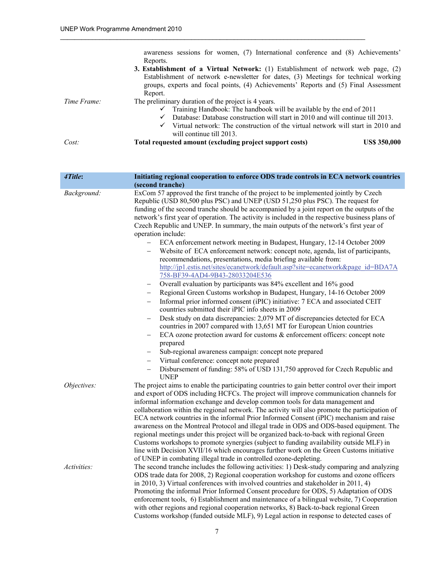|             | awareness sessions for women, (7) International conference and (8) Achievements'                |  |
|-------------|-------------------------------------------------------------------------------------------------|--|
|             | Reports.                                                                                        |  |
|             | <b>3. Establishment of a Virtual Network:</b> (1) Establishment of network web page, (2)        |  |
|             | Establishment of network e-newsletter for dates, (3) Meetings for technical working             |  |
|             | groups, experts and focal points, (4) Achievements' Reports and (5) Final Assessment            |  |
|             | Report.                                                                                         |  |
| Time Frame: | The preliminary duration of the project is 4 years.                                             |  |
|             | $\checkmark$ Training Handbook: The handbook will be available by the end of 2011               |  |
|             | Database: Database construction will start in 2010 and will continue till 2013.<br>$\checkmark$ |  |
|             | Virtual network: The construction of the virtual network will start in 2010 and<br>$\checkmark$ |  |
|             | will continue till 2013.                                                                        |  |
| Cost:       | Total requested amount (excluding project support costs)<br><b>US\$ 350,000</b>                 |  |

| 4Title:            | Initiating regional cooperation to enforce ODS trade controls in ECA network countries                                                                                                                                                                                                                                                                                    |
|--------------------|---------------------------------------------------------------------------------------------------------------------------------------------------------------------------------------------------------------------------------------------------------------------------------------------------------------------------------------------------------------------------|
|                    | (second tranche)                                                                                                                                                                                                                                                                                                                                                          |
| Background:        | ExCom 57 approved the first tranche of the project to be implemented jointly by Czech<br>Republic (USD 80,500 plus PSC) and UNEP (USD 51,250 plus PSC). The request for<br>funding of the second tranche should be accompanied by a joint report on the outputs of the<br>network's first year of operation. The activity is included in the respective business plans of |
|                    | Czech Republic and UNEP. In summary, the main outputs of the network's first year of<br>operation include:                                                                                                                                                                                                                                                                |
|                    | ECA enforcement network meeting in Budapest, Hungary, 12-14 October 2009                                                                                                                                                                                                                                                                                                  |
|                    | Website of ECA enforcement network: concept note, agenda, list of participants,<br>recommendations, presentations, media briefing available from:                                                                                                                                                                                                                         |
|                    | http://jp1.estis.net/sites/ecanetwork/default.asp?site=ecanetwork&page_id=BDA7A<br>758-BF39-4AD4-9B43-28033204E536                                                                                                                                                                                                                                                        |
|                    | Overall evaluation by participants was 84% excellent and 16% good<br>$\qquad \qquad -$                                                                                                                                                                                                                                                                                    |
|                    | Regional Green Customs workshop in Budapest, Hungary, 14-16 October 2009<br>$\overline{\phantom{0}}$<br>Informal prior informed consent (iPIC) initiative: 7 ECA and associated CEIT<br>$\overline{\phantom{0}}$<br>countries submitted their iPIC info sheets in 2009                                                                                                    |
|                    | Desk study on data discrepancies: 2,079 MT of discrepancies detected for ECA<br>-<br>countries in 2007 compared with 13,651 MT for European Union countries                                                                                                                                                                                                               |
|                    | ECA ozone protection award for customs & enforcement officers: concept note<br>-<br>prepared                                                                                                                                                                                                                                                                              |
|                    | Sub-regional awareness campaign: concept note prepared<br>$\qquad \qquad -$                                                                                                                                                                                                                                                                                               |
|                    | Virtual conference: concept note prepared<br>$\qquad \qquad -$<br>Disbursement of funding: 58% of USD 131,750 approved for Czech Republic and<br><b>UNEP</b>                                                                                                                                                                                                              |
| Objectives:        | The project aims to enable the participating countries to gain better control over their import<br>and export of ODS including HCFCs. The project will improve communication channels for<br>informal information exchange and develop common tools for data management and                                                                                               |
|                    | collaboration within the regional network. The activity will also promote the participation of<br>ECA network countries in the informal Prior Informed Consent (iPIC) mechanism and raise                                                                                                                                                                                 |
|                    | awareness on the Montreal Protocol and illegal trade in ODS and ODS-based equipment. The<br>regional meetings under this project will be organized back-to-back with regional Green                                                                                                                                                                                       |
|                    | Customs workshops to promote synergies (subject to funding availability outside MLF) in                                                                                                                                                                                                                                                                                   |
|                    | line with Decision XVII/16 which encourages further work on the Green Customs initiative<br>of UNEP in combating illegal trade in controlled ozone-depleting.                                                                                                                                                                                                             |
| <i>Activities:</i> | The second tranche includes the following activities: 1) Desk-study comparing and analyzing                                                                                                                                                                                                                                                                               |
|                    | ODS trade data for 2008, 2) Regional cooperation workshop for customs and ozone officers                                                                                                                                                                                                                                                                                  |
|                    | in 2010, 3) Virtual conferences with involved countries and stakeholder in 2011, 4)                                                                                                                                                                                                                                                                                       |
|                    | Promoting the informal Prior Informed Consent procedure for ODS, 5) Adaptation of ODS<br>enforcement tools, 6) Establishment and maintenance of a bilingual website, 7) Cooperation                                                                                                                                                                                       |
|                    | with other regions and regional cooperation networks, 8) Back-to-back regional Green<br>Customs workshop (funded outside MLF), 9) Legal action in response to detected cases of                                                                                                                                                                                           |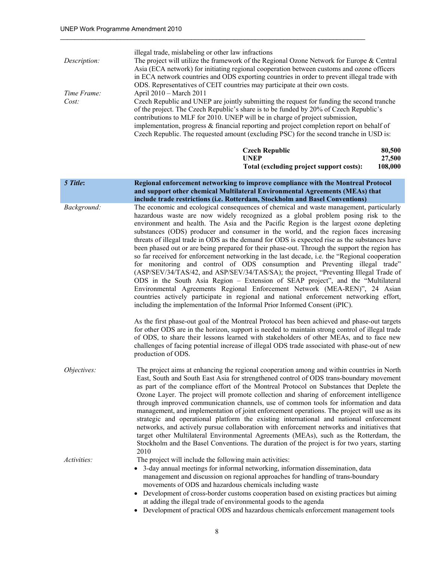|              | illegal trade, mislabeling or other law infractions                                          |
|--------------|----------------------------------------------------------------------------------------------|
| Description: | The project will utilize the framework of the Regional Ozone Network for Europe & Central    |
|              | Asia (ECA network) for initiating regional cooperation between customs and ozone officers    |
|              | in ECA network countries and ODS exporting countries in order to prevent illegal trade with  |
|              | ODS. Representatives of CEIT countries may participate at their own costs.                   |
| Time Frame:  | April 2010 – March 2011                                                                      |
| Cost:        | Czech Republic and UNEP are jointly submitting the request for funding the second tranche    |
|              | of the project. The Czech Republic's share is to be funded by 20% of Czech Republic's        |
|              | contributions to MLF for 2010. UNEP will be in charge of project submission,                 |
|              | implementation, progress $\&$ financial reporting and project completion report on behalf of |
|              | Czech Republic. The requested amount (excluding PSC) for the second tranche in USD is:       |
|              |                                                                                              |

| Czech Republic                           | 80,500  |
|------------------------------------------|---------|
| UNEP                                     | 27,500  |
| Total (excluding project support costs): | 108,000 |

| 5 Title:    | Regional enforcement networking to improve compliance with the Montreal Protocol                                                                                                                                                                                                                                                                                                                                                                                                                                                                                                                                                                                                                                                                                                                                                                                                                                                                                                                                                                                                                                                                                                     |
|-------------|--------------------------------------------------------------------------------------------------------------------------------------------------------------------------------------------------------------------------------------------------------------------------------------------------------------------------------------------------------------------------------------------------------------------------------------------------------------------------------------------------------------------------------------------------------------------------------------------------------------------------------------------------------------------------------------------------------------------------------------------------------------------------------------------------------------------------------------------------------------------------------------------------------------------------------------------------------------------------------------------------------------------------------------------------------------------------------------------------------------------------------------------------------------------------------------|
|             | and support other chemical Multilateral Environmental Agreements (MEAs) that                                                                                                                                                                                                                                                                                                                                                                                                                                                                                                                                                                                                                                                                                                                                                                                                                                                                                                                                                                                                                                                                                                         |
|             | include trade restrictions (i.e. Rotterdam, Stockholm and Basel Conventions)                                                                                                                                                                                                                                                                                                                                                                                                                                                                                                                                                                                                                                                                                                                                                                                                                                                                                                                                                                                                                                                                                                         |
| Background: | The economic and ecological consequences of chemical and waste management, particularly<br>hazardous waste are now widely recognized as a global problem posing risk to the<br>environment and health. The Asia and the Pacific Region is the largest ozone depleting<br>substances (ODS) producer and consumer in the world, and the region faces increasing<br>threats of illegal trade in ODS as the demand for ODS is expected rise as the substances have<br>been phased out or are being prepared for their phase-out. Through the support the region has<br>so far received for enforcement networking in the last decade, i.e. the "Regional cooperation"<br>for monitoring and control of ODS consumption and Preventing illegal trade"<br>(ASP/SEV/34/TAS/42, and ASP/SEV/34/TAS/SA); the project, "Preventing Illegal Trade of<br>ODS in the South Asia Region – Extension of SEAP project", and the "Multilateral<br>Environmental Agreements Regional Enforcement Network (MEA-REN)", 24 Asian<br>countries actively participate in regional and national enforcement networking effort,<br>including the implementation of the Informal Prior Informed Consent (iPIC). |
|             | As the first phase-out goal of the Montreal Protocol has been achieved and phase-out targets<br>for other ODS are in the horizon, support is needed to maintain strong control of illegal trade<br>of ODS, to share their lessons learned with stakeholders of other MEAs, and to face new<br>challenges of facing potential increase of illegal ODS trade associated with phase-out of new<br>production of ODS.                                                                                                                                                                                                                                                                                                                                                                                                                                                                                                                                                                                                                                                                                                                                                                    |
| Objectives: | The project aims at enhancing the regional cooperation among and within countries in North<br>East, South and South East Asia for strengthened control of ODS trans-boundary movement<br>as part of the compliance effort of the Montreal Protocol on Substances that Deplete the<br>Ozone Layer. The project will promote collection and sharing of enforcement intelligence<br>through improved communication channels, use of common tools for information and data<br>management, and implementation of joint enforcement operations. The project will use as its<br>strategic and operational platform the existing international and national enforcement<br>networks, and actively pursue collaboration with enforcement networks and initiatives that<br>target other Multilateral Environmental Agreements (MEAs), such as the Rotterdam, the<br>Stockholm and the Basel Conventions. The duration of the project is for two years, starting<br>2010                                                                                                                                                                                                                        |
| Activities: | The project will include the following main activities:                                                                                                                                                                                                                                                                                                                                                                                                                                                                                                                                                                                                                                                                                                                                                                                                                                                                                                                                                                                                                                                                                                                              |
|             | • 3-day annual meetings for informal networking, information dissemination, data<br>management and discussion on regional approaches for handling of trans-boundary<br>movements of ODS and hazardous chemicals including waste<br>Development of cross-border customs cooperation based on evicting practices but aiming                                                                                                                                                                                                                                                                                                                                                                                                                                                                                                                                                                                                                                                                                                                                                                                                                                                            |

- Development of cross-border customs cooperation based on existing practices but aiming at adding the illegal trade of environmental goods to the agenda
- Development of practical ODS and hazardous chemicals enforcement management tools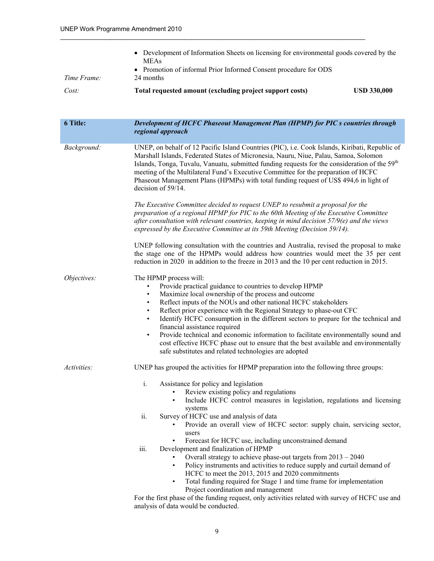|             | • Development of Information Sheets on licensing for environmental goods covered by the<br><b>MEAs</b> |                    |
|-------------|--------------------------------------------------------------------------------------------------------|--------------------|
| Time Frame: | • Promotion of informal Prior Informed Consent procedure for ODS<br>24 months                          |                    |
| Cost:       | Total requested amount (excluding project support costs)                                               | <b>USD 330,000</b> |

| 6 Title:    | Development of HCFC Phaseout Management Plan (HPMP) for PIC s countries through<br>regional approach                                                                                                                                                                                                                                                                                                                                                                                                                                                                                                                                                                                     |
|-------------|------------------------------------------------------------------------------------------------------------------------------------------------------------------------------------------------------------------------------------------------------------------------------------------------------------------------------------------------------------------------------------------------------------------------------------------------------------------------------------------------------------------------------------------------------------------------------------------------------------------------------------------------------------------------------------------|
| Background: | UNEP, on behalf of 12 Pacific Island Countries (PIC), i.e. Cook Islands, Kiribati, Republic of<br>Marshall Islands, Federated States of Micronesia, Nauru, Niue, Palau, Samoa, Solomon<br>Islands, Tonga, Tuvalu, Vanuatu, submitted funding requests for the consideration of the 59 <sup>th</sup><br>meeting of the Multilateral Fund's Executive Committee for the preparation of HCFC<br>Phaseout Management Plans (HPMPs) with total funding request of US\$ 494,6 in light of<br>decision of 59/14.                                                                                                                                                                                |
|             | The Executive Committee decided to request UNEP to resubmit a proposal for the<br>preparation of a regional HPMP for PIC to the 60th Meeting of the Executive Committee<br>after consultation with relevant countries, keeping in mind decision 57/9(e) and the views<br>expressed by the Executive Committee at its 59th Meeting (Decision 59/14).                                                                                                                                                                                                                                                                                                                                      |
|             | UNEP following consultation with the countries and Australia, revised the proposal to make<br>the stage one of the HPMPs would address how countries would meet the 35 per cent<br>reduction in 2020 in addition to the freeze in 2013 and the 10 per cent reduction in 2015.                                                                                                                                                                                                                                                                                                                                                                                                            |
| Objectives: | The HPMP process will:<br>Provide practical guidance to countries to develop HPMP<br>$\bullet$<br>Maximize local ownership of the process and outcome<br>$\bullet$<br>Reflect inputs of the NOUs and other national HCFC stakeholders<br>$\bullet$<br>Reflect prior experience with the Regional Strategy to phase-out CFC<br>Identify HCFC consumption in the different sectors to prepare for the technical and<br>financial assistance required<br>Provide technical and economic information to facilitate environmentally sound and<br>cost effective HCFC phase out to ensure that the best available and environmentally<br>safe substitutes and related technologies are adopted |
| Activities: | UNEP has grouped the activities for HPMP preparation into the following three groups:                                                                                                                                                                                                                                                                                                                                                                                                                                                                                                                                                                                                    |
|             | $\mathbf{i}$ .<br>Assistance for policy and legislation<br>Review existing policy and regulations<br>$\bullet$<br>Include HCFC control measures in legislation, regulations and licensing<br>$\bullet$<br>systems<br>ii.<br>Survey of HCFC use and analysis of data                                                                                                                                                                                                                                                                                                                                                                                                                      |
|             | Provide an overall view of HCFC sector: supply chain, servicing sector,<br>users<br>Forecast for HCFC use, including unconstrained demand                                                                                                                                                                                                                                                                                                                                                                                                                                                                                                                                                |
|             | iii.<br>Development and finalization of HPMP                                                                                                                                                                                                                                                                                                                                                                                                                                                                                                                                                                                                                                             |
|             | Overall strategy to achieve phase-out targets from 2013 - 2040<br>Policy instruments and activities to reduce supply and curtail demand of<br>$\bullet$                                                                                                                                                                                                                                                                                                                                                                                                                                                                                                                                  |
|             | HCFC to meet the 2013, 2015 and 2020 commitments                                                                                                                                                                                                                                                                                                                                                                                                                                                                                                                                                                                                                                         |
|             | Total funding required for Stage 1 and time frame for implementation<br>$\bullet$<br>Project coordination and management                                                                                                                                                                                                                                                                                                                                                                                                                                                                                                                                                                 |
|             | For the first phase of the funding request, only activities related with survey of HCFC use and                                                                                                                                                                                                                                                                                                                                                                                                                                                                                                                                                                                          |
|             | analysis of data would be conducted.                                                                                                                                                                                                                                                                                                                                                                                                                                                                                                                                                                                                                                                     |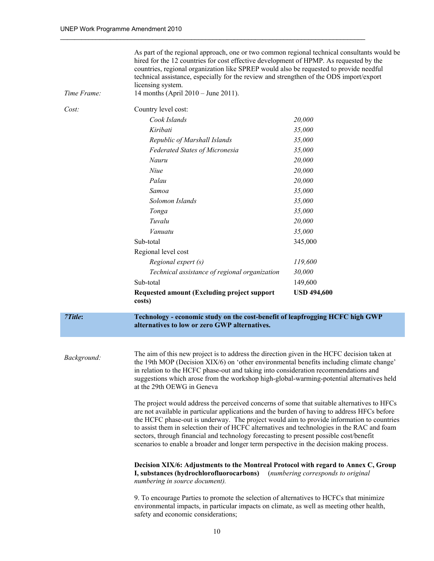| Time Frame: | As part of the regional approach, one or two common regional technical consultants would be<br>hired for the 12 countries for cost effective development of HPMP. As requested by the<br>countries, regional organization like SPREP would also be requested to provide needful<br>technical assistance, especially for the review and strengthen of the ODS import/export<br>licensing system.<br>14 months (April 2010 – June 2011).                                                                                                                                                                                                                                                                                                                                                                                                                                                                                                                                                                                                                                                                                        |                                    |
|-------------|-------------------------------------------------------------------------------------------------------------------------------------------------------------------------------------------------------------------------------------------------------------------------------------------------------------------------------------------------------------------------------------------------------------------------------------------------------------------------------------------------------------------------------------------------------------------------------------------------------------------------------------------------------------------------------------------------------------------------------------------------------------------------------------------------------------------------------------------------------------------------------------------------------------------------------------------------------------------------------------------------------------------------------------------------------------------------------------------------------------------------------|------------------------------------|
| Cost:       | Country level cost:                                                                                                                                                                                                                                                                                                                                                                                                                                                                                                                                                                                                                                                                                                                                                                                                                                                                                                                                                                                                                                                                                                           |                                    |
|             | Cook Islands                                                                                                                                                                                                                                                                                                                                                                                                                                                                                                                                                                                                                                                                                                                                                                                                                                                                                                                                                                                                                                                                                                                  | 20,000                             |
|             | Kiribati                                                                                                                                                                                                                                                                                                                                                                                                                                                                                                                                                                                                                                                                                                                                                                                                                                                                                                                                                                                                                                                                                                                      | 35,000                             |
|             | Republic of Marshall Islands                                                                                                                                                                                                                                                                                                                                                                                                                                                                                                                                                                                                                                                                                                                                                                                                                                                                                                                                                                                                                                                                                                  | 35,000                             |
|             | <b>Federated States of Micronesia</b>                                                                                                                                                                                                                                                                                                                                                                                                                                                                                                                                                                                                                                                                                                                                                                                                                                                                                                                                                                                                                                                                                         | 35,000                             |
|             | Nauru                                                                                                                                                                                                                                                                                                                                                                                                                                                                                                                                                                                                                                                                                                                                                                                                                                                                                                                                                                                                                                                                                                                         | 20,000                             |
|             | Niue                                                                                                                                                                                                                                                                                                                                                                                                                                                                                                                                                                                                                                                                                                                                                                                                                                                                                                                                                                                                                                                                                                                          | 20,000                             |
|             | Palau                                                                                                                                                                                                                                                                                                                                                                                                                                                                                                                                                                                                                                                                                                                                                                                                                                                                                                                                                                                                                                                                                                                         | 20,000                             |
|             | Samoa                                                                                                                                                                                                                                                                                                                                                                                                                                                                                                                                                                                                                                                                                                                                                                                                                                                                                                                                                                                                                                                                                                                         | 35,000                             |
|             | Solomon Islands                                                                                                                                                                                                                                                                                                                                                                                                                                                                                                                                                                                                                                                                                                                                                                                                                                                                                                                                                                                                                                                                                                               | 35,000                             |
|             | Tonga                                                                                                                                                                                                                                                                                                                                                                                                                                                                                                                                                                                                                                                                                                                                                                                                                                                                                                                                                                                                                                                                                                                         | 35,000                             |
|             | Tuvalu                                                                                                                                                                                                                                                                                                                                                                                                                                                                                                                                                                                                                                                                                                                                                                                                                                                                                                                                                                                                                                                                                                                        | 20,000                             |
|             | Vanuatu                                                                                                                                                                                                                                                                                                                                                                                                                                                                                                                                                                                                                                                                                                                                                                                                                                                                                                                                                                                                                                                                                                                       | 35,000                             |
|             | Sub-total                                                                                                                                                                                                                                                                                                                                                                                                                                                                                                                                                                                                                                                                                                                                                                                                                                                                                                                                                                                                                                                                                                                     | 345,000                            |
|             | Regional level cost                                                                                                                                                                                                                                                                                                                                                                                                                                                                                                                                                                                                                                                                                                                                                                                                                                                                                                                                                                                                                                                                                                           |                                    |
|             | Regional expert (s)                                                                                                                                                                                                                                                                                                                                                                                                                                                                                                                                                                                                                                                                                                                                                                                                                                                                                                                                                                                                                                                                                                           | 119,600                            |
|             | Technical assistance of regional organization                                                                                                                                                                                                                                                                                                                                                                                                                                                                                                                                                                                                                                                                                                                                                                                                                                                                                                                                                                                                                                                                                 | 30,000                             |
|             | Sub-total                                                                                                                                                                                                                                                                                                                                                                                                                                                                                                                                                                                                                                                                                                                                                                                                                                                                                                                                                                                                                                                                                                                     | 149,600                            |
|             | Requested amount (Excluding project support<br>costs)                                                                                                                                                                                                                                                                                                                                                                                                                                                                                                                                                                                                                                                                                                                                                                                                                                                                                                                                                                                                                                                                         | <b>USD 494,600</b>                 |
| 7Title:     | Technology - economic study on the cost-benefit of leapfrogging HCFC high GWP<br>alternatives to low or zero GWP alternatives.                                                                                                                                                                                                                                                                                                                                                                                                                                                                                                                                                                                                                                                                                                                                                                                                                                                                                                                                                                                                |                                    |
| Background: | The aim of this new project is to address the direction given in the HCFC decision taken at<br>the 19th MOP (Decision XIX/6) on 'other environmental benefits including climate change'<br>in relation to the HCFC phase-out and taking into consideration recommendations and<br>suggestions which arose from the workshop high-global-warming-potential alternatives held<br>at the 29th OEWG in Geneva<br>The project would address the perceived concerns of some that suitable alternatives to HFCs<br>are not available in particular applications and the burden of having to address HFCs before<br>the HCFC phase-out is underway. The project would aim to provide information to countries<br>to assist them in selection their of HCFC alternatives and technologies in the RAC and foam<br>sectors, through financial and technology forecasting to present possible cost/benefit<br>scenarios to enable a broader and longer term perspective in the decision making process.<br>Decision XIX/6: Adjustments to the Montreal Protocol with regard to Annex C, Group<br>I, substances (hydrochlorofluorocarbons) | (numbering corresponds to original |
|             | numbering in source document).<br>9. To encourage Parties to promote the selection of alternatives to HCFCs that minimize<br>environmental impacts, in particular impacts on climate, as well as meeting other health,<br>safety and economic considerations;                                                                                                                                                                                                                                                                                                                                                                                                                                                                                                                                                                                                                                                                                                                                                                                                                                                                 |                                    |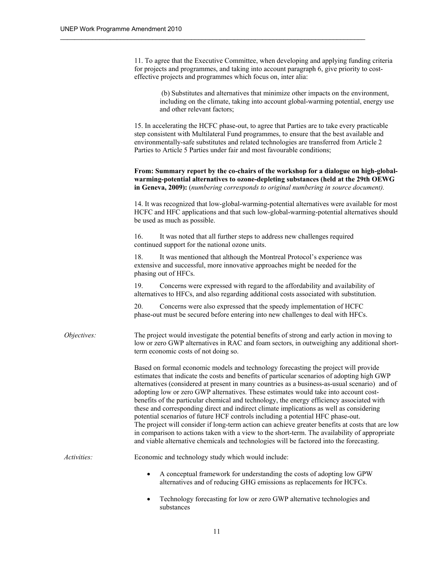11. To agree that the Executive Committee, when developing and applying funding criteria for projects and programmes, and taking into account paragraph 6, give priority to costeffective projects and programmes which focus on, inter alia:

 $\_$  . The contribution of the contribution of the contribution of the contribution of the contribution of the contribution of the contribution of the contribution of the contribution of the contribution of the contributio

 (b) Substitutes and alternatives that minimize other impacts on the environment, including on the climate, taking into account global-warming potential, energy use and other relevant factors;

15. In accelerating the HCFC phase-out, to agree that Parties are to take every practicable step consistent with Multilateral Fund programmes, to ensure that the best available and environmentally-safe substitutes and related technologies are transferred from Article 2 Parties to Article 5 Parties under fair and most favourable conditions;

**From: Summary report by the co-chairs of the workshop for a dialogue on high-globalwarming-potential alternatives to ozone-depleting substances (held at the 29th OEWG in Geneva, 2009):** (*numbering corresponds to original numbering in source document).*

14. It was recognized that low-global-warming-potential alternatives were available for most HCFC and HFC applications and that such low-global-warming-potential alternatives should be used as much as possible.

16. It was noted that all further steps to address new challenges required continued support for the national ozone units.

18. It was mentioned that although the Montreal Protocol's experience was extensive and successful, more innovative approaches might be needed for the phasing out of HFCs.

19. Concerns were expressed with regard to the affordability and availability of alternatives to HFCs, and also regarding additional costs associated with substitution.

20. Concerns were also expressed that the speedy implementation of HCFC phase-out must be secured before entering into new challenges to deal with HFCs.

*Objectives:* The project would investigate the potential benefits of strong and early action in moving to low or zero GWP alternatives in RAC and foam sectors, in outweighing any additional shortterm economic costs of not doing so.

> Based on formal economic models and technology forecasting the project will provide estimates that indicate the costs and benefits of particular scenarios of adopting high GWP alternatives (considered at present in many countries as a business-as-usual scenario) and of adopting low or zero GWP alternatives. These estimates would take into account costbenefits of the particular chemical and technology, the energy efficiency associated with these and corresponding direct and indirect climate implications as well as considering potential scenarios of future HCF controls including a potential HFC phase-out. The project will consider if long-term action can achieve greater benefits at costs that are low in comparison to actions taken with a view to the short-term. The availability of appropriate and viable alternative chemicals and technologies will be factored into the forecasting.

*Activities:* Economic and technology study which would include:

- A conceptual framework for understanding the costs of adopting low GPW alternatives and of reducing GHG emissions as replacements for HCFCs.
- Technology forecasting for low or zero GWP alternative technologies and substances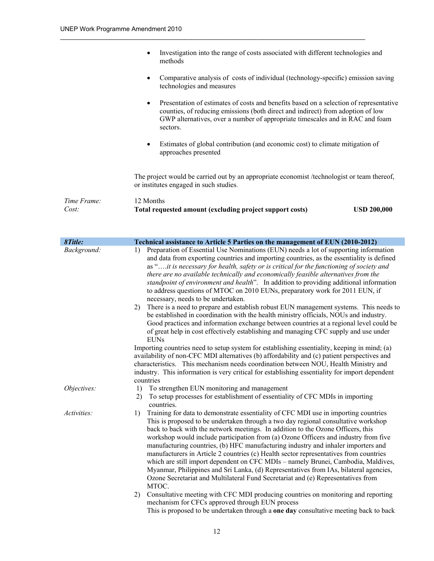| Time Frame:<br>Cost: | 12 Months<br>Total requested amount (excluding project support costs)<br><b>USD 200,000</b>                                                                                                                                                                                         |
|----------------------|-------------------------------------------------------------------------------------------------------------------------------------------------------------------------------------------------------------------------------------------------------------------------------------|
|                      | The project would be carried out by an appropriate economist /technologist or team thereof,<br>or institutes engaged in such studies.                                                                                                                                               |
|                      | Estimates of global contribution (and economic cost) to climate mitigation of<br>$\bullet$<br>approaches presented                                                                                                                                                                  |
|                      | Presentation of estimates of costs and benefits based on a selection of representative<br>$\bullet$<br>counties, of reducing emissions (both direct and indirect) from adoption of low<br>GWP alternatives, over a number of appropriate timescales and in RAC and foam<br>sectors. |
|                      | Comparative analysis of costs of individual (technology-specific) emission saving<br>$\bullet$<br>technologies and measures                                                                                                                                                         |
|                      | Investigation into the range of costs associated with different technologies and<br>$\bullet$<br>methods                                                                                                                                                                            |

| 8Title:     | Technical assistance to Article 5 Parties on the management of EUN (2010-2012)                                                                                                                                                                                                                                                                                                                                                                                                                                                                                                                                                                                                                                                                                                                                     |
|-------------|--------------------------------------------------------------------------------------------------------------------------------------------------------------------------------------------------------------------------------------------------------------------------------------------------------------------------------------------------------------------------------------------------------------------------------------------------------------------------------------------------------------------------------------------------------------------------------------------------------------------------------------------------------------------------------------------------------------------------------------------------------------------------------------------------------------------|
| Background: | Preparation of Essential Use Nominations (EUN) needs a lot of supporting information<br>1)<br>and data from exporting countries and importing countries, as the essentiality is defined<br>as "it is necessary for health, safety or is critical for the functioning of society and<br>there are no available technically and economically feasible alternatives from the<br>standpoint of environment and health". In addition to providing additional information<br>to address questions of MTOC on 2010 EUNs, preparatory work for 2011 EUN, if<br>necessary, needs to be undertaken.                                                                                                                                                                                                                          |
|             | There is a need to prepare and establish robust EUN management systems. This needs to<br>2)<br>be established in coordination with the health ministry officials, NOUs and industry.<br>Good practices and information exchange between countries at a regional level could be<br>of great help in cost effectively establishing and managing CFC supply and use under<br><b>EUNs</b>                                                                                                                                                                                                                                                                                                                                                                                                                              |
|             | Importing countries need to setup system for establishing essentiality, keeping in mind; (a)<br>availability of non-CFC MDI alternatives (b) affordability and (c) patient perspectives and<br>characteristics. This mechanism needs coordination between NOU, Health Ministry and<br>industry. This information is very critical for establishing essentiality for import dependent<br>countries                                                                                                                                                                                                                                                                                                                                                                                                                  |
| Objectives: | To strengthen EUN monitoring and management<br>1)<br>To setup processes for establishment of essentiality of CFC MDIs in importing<br>2)<br>countries.                                                                                                                                                                                                                                                                                                                                                                                                                                                                                                                                                                                                                                                             |
| Activities: | Training for data to demonstrate essentiality of CFC MDI use in importing countries<br>1)<br>This is proposed to be undertaken through a two day regional consultative workshop<br>back to back with the network meetings. In addition to the Ozone Officers, this<br>workshop would include participation from (a) Ozone Officers and industry from five<br>manufacturing countries, (b) HFC manufacturing industry and inhaler importers and<br>manufacturers in Article 2 countries (c) Health sector representatives from countries<br>which are still import dependent on CFC MDIs – namely Brunei, Cambodia, Maldives,<br>Myanmar, Philippines and Sri Lanka, (d) Representatives from IAs, bilateral agencies,<br>Ozone Secretariat and Multilateral Fund Secretariat and (e) Representatives from<br>MTOC. |
|             | Consultative meeting with CFC MDI producing countries on monitoring and reporting<br>2)<br>mechanism for CFCs approved through EUN process<br>This is proposed to be undertaken through a <b>one day</b> consultative meeting back to back                                                                                                                                                                                                                                                                                                                                                                                                                                                                                                                                                                         |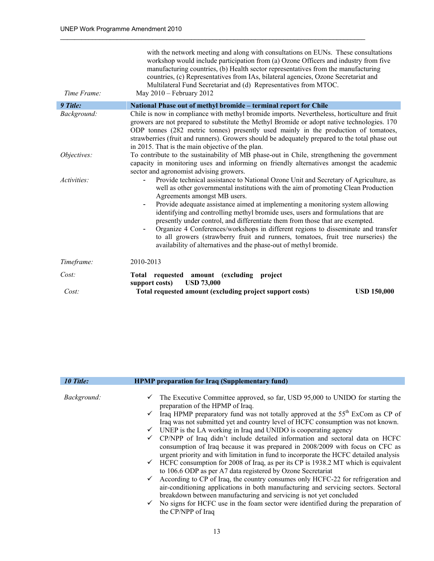| Time Frame: | with the network meeting and along with consultations on EUNs. These consultations<br>workshop would include participation from (a) Ozone Officers and industry from five<br>manufacturing countries, (b) Health sector representatives from the manufacturing<br>countries, (c) Representatives from IAs, bilateral agencies, Ozone Secretariat and<br>Multilateral Fund Secretariat and (d) Representatives from MTOC.<br>May 2010 - February 2012                                                                                                                                                                                                                                                             |
|-------------|------------------------------------------------------------------------------------------------------------------------------------------------------------------------------------------------------------------------------------------------------------------------------------------------------------------------------------------------------------------------------------------------------------------------------------------------------------------------------------------------------------------------------------------------------------------------------------------------------------------------------------------------------------------------------------------------------------------|
| 9 Title:    | National Phase out of methyl bromide – terminal report for Chile                                                                                                                                                                                                                                                                                                                                                                                                                                                                                                                                                                                                                                                 |
| Background: | Chile is now in compliance with methyl bromide imports. Nevertheless, horticulture and fruit<br>growers are not prepared to substitute the Methyl Bromide or adopt native technologies. 170<br>ODP tonnes (282 metric tonnes) presently used mainly in the production of tomatoes,<br>strawberries (fruit and runners). Growers should be adequately prepared to the total phase out<br>in 2015. That is the main objective of the plan.                                                                                                                                                                                                                                                                         |
| Objectives: | To contribute to the sustainability of MB phase-out in Chile, strengthening the government<br>capacity in monitoring uses and informing on friendly alternatives amongst the academic<br>sector and agronomist advising growers.                                                                                                                                                                                                                                                                                                                                                                                                                                                                                 |
| Activities: | Provide technical assistance to National Ozone Unit and Secretary of Agriculture, as<br>well as other governmental institutions with the aim of promoting Clean Production<br>Agreements amongst MB users.<br>Provide adequate assistance aimed at implementing a monitoring system allowing<br>identifying and controlling methyl bromide uses, users and formulations that are<br>presently under control, and differentiate them from those that are exempted.<br>Organize 4 Conferences/workshops in different regions to disseminate and transfer<br>to all growers (strawberry fruit and runners, tomatoes, fruit tree nurseries) the<br>availability of alternatives and the phase-out of methyl bromide. |
| Timeframe:  | 2010-2013                                                                                                                                                                                                                                                                                                                                                                                                                                                                                                                                                                                                                                                                                                        |
| Cost:       | Total requested amount (excluding project<br><b>USD 73,000</b><br>support costs)                                                                                                                                                                                                                                                                                                                                                                                                                                                                                                                                                                                                                                 |
| Cost:       | Total requested amount (excluding project support costs)<br><b>USD 150,000</b>                                                                                                                                                                                                                                                                                                                                                                                                                                                                                                                                                                                                                                   |

| 10 Title:   | <b>HPMP</b> preparation for Iraq (Supplementary fund)                                                                                                                                                                                                               |
|-------------|---------------------------------------------------------------------------------------------------------------------------------------------------------------------------------------------------------------------------------------------------------------------|
|             |                                                                                                                                                                                                                                                                     |
| Background: | $\checkmark$ The Executive Committee approved, so far, USD 95,000 to UNIDO for starting the<br>preparation of the HPMP of Iraq.                                                                                                                                     |
|             | $\checkmark$ Iraq HPMP preparatory fund was not totally approved at the 55 <sup>th</sup> ExCom as CP of<br>Iraq was not submitted yet and country level of HCFC consumption was not known.                                                                          |
|             | $\checkmark$ UNEP is the LA working in Iraq and UNIDO is cooperating agency                                                                                                                                                                                         |
|             | $\checkmark$ CP/NPP of Iraq didn't include detailed information and sectoral data on HCFC<br>consumption of Iraq because it was prepared in 2008/2009 with focus on CFC as<br>urgent priority and with limitation in fund to incorporate the HCFC detailed analysis |
|             | $\checkmark$ HCFC consumption for 2008 of Iraq, as per its CP is 1938.2 MT which is equivalent<br>to 106.6 ODP as per A7 data registered by Ozone Secretariat                                                                                                       |
|             | $\checkmark$ According to CP of Iraq, the country consumes only HCFC-22 for refrigeration and<br>air-conditioning applications in both manufacturing and servicing sectors. Sectoral<br>breakdown between manufacturing and servicing is not yet concluded          |
|             | $\checkmark$ No signs for HCFC use in the foam sector were identified during the preparation of<br>the CP/NPP of Iraq                                                                                                                                               |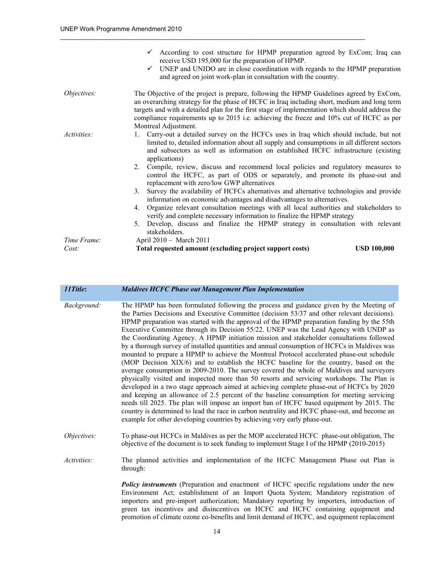|             | $\checkmark$ According to cost structure for HPMP preparation agreed by ExCom; Iraq can<br>receive USD 195,000 for the preparation of HPMP.<br>UNEP and UNIDO are in close coordination with regards to the HPMP preparation<br>$\checkmark$<br>and agreed on joint work-plan in consultation with the country.                                                                                              |
|-------------|--------------------------------------------------------------------------------------------------------------------------------------------------------------------------------------------------------------------------------------------------------------------------------------------------------------------------------------------------------------------------------------------------------------|
| Objectives: | The Objective of the project is prepare, following the HPMP Guidelines agreed by ExCom,<br>an overarching strategy for the phase of HCFC in Iraq including short, medium and long term<br>targets and with a detailed plan for the first stage of implementation which should address the<br>compliance requirements up to 2015 i.e. achieving the freeze and 10% cut of HCFC as per<br>Montreal Adjustment. |
| Activities: | 1. Carry-out a detailed survey on the HCFCs uses in Iraq which should include, but not<br>limited to, detailed information about all supply and consumptions in all different sectors<br>and subsectors as well as information on established HCFC infrastructure (existing<br>applications)                                                                                                                 |
|             | 2. Compile, review, discuss and recommend local policies and regulatory measures to<br>control the HCFC, as part of ODS or separately, and promote its phase-out and<br>replacement with zero/low GWP alternatives                                                                                                                                                                                           |
|             | Survey the availability of HCFCs alternatives and alternative technologies and provide<br>3.<br>information on economic advantages and disadvantages to alternatives.                                                                                                                                                                                                                                        |
|             | Organize relevant consultation meetings with all local authorities and stakeholders to<br>4.<br>verify and complete necessary information to finalize the HPMP strategy                                                                                                                                                                                                                                      |
|             | Develop, discuss and finalize the HPMP strategy in consultation with relevant<br>5.<br>stakeholders.                                                                                                                                                                                                                                                                                                         |
| Time Frame: | April 2010 - March 2011                                                                                                                                                                                                                                                                                                                                                                                      |
| Cost:       | <b>USD 100,000</b><br>Total requested amount (excluding project support costs)                                                                                                                                                                                                                                                                                                                               |

| 11Title:    | <b>Maldives HCFC Phase out Management Plan Implementation</b>                                                                                                                                                                                                                                                                                                                                                                                                                                                                                                                                                                                                                                                                                                                                                                                                                                                                                                                                                                                                                                                                                                                                                                                                                                                                                                                                                                  |
|-------------|--------------------------------------------------------------------------------------------------------------------------------------------------------------------------------------------------------------------------------------------------------------------------------------------------------------------------------------------------------------------------------------------------------------------------------------------------------------------------------------------------------------------------------------------------------------------------------------------------------------------------------------------------------------------------------------------------------------------------------------------------------------------------------------------------------------------------------------------------------------------------------------------------------------------------------------------------------------------------------------------------------------------------------------------------------------------------------------------------------------------------------------------------------------------------------------------------------------------------------------------------------------------------------------------------------------------------------------------------------------------------------------------------------------------------------|
| Background: | The HPMP has been formulated following the process and guidance given by the Meeting of<br>the Parties Decisions and Executive Committee (decision 53/37 and other relevant decisions).<br>HPMP preparation was started with the approval of the HPMP preparation funding by the 55th<br>Executive Committee through its Decision 55/22. UNEP was the Lead Agency with UNDP as<br>the Coordinating Agency. A HPMP initiation mission and stakeholder consultations followed<br>by a thorough survey of installed quantities and annual consumption of HCFCs in Maldives was<br>mounted to prepare a HPMP to achieve the Montreal Protocol accelerated phase-out schedule<br>(MOP Decision XIX/6) and to establish the HCFC baseline for the country, based on the<br>average consumption in 2009-2010. The survey covered the whole of Maldives and surveyors<br>physically visited and inspected more than 50 resorts and servicing workshops. The Plan is<br>developed in a two stage approach aimed at achieving complete phase-out of HCFCs by 2020<br>and keeping an allowance of 2.5 percent of the baseline consumption for meeting servicing<br>needs till 2025. The plan will impose an import ban of HCFC based equipment by 2015. The<br>country is determined to lead the race in carbon neutrality and HCFC phase-out, and become an<br>example for other developing countries by achieving very early phase-out. |
| Objectives: | To phase-out HCFCs in Maldives as per the MOP accelerated HCFC phase-out obligation, The<br>objective of the document is to seek funding to implement Stage I of the HPMP (2010-2015)                                                                                                                                                                                                                                                                                                                                                                                                                                                                                                                                                                                                                                                                                                                                                                                                                                                                                                                                                                                                                                                                                                                                                                                                                                          |
| Activities: | The planned activities and implementation of the HCFC Management Phase out Plan is<br>through:                                                                                                                                                                                                                                                                                                                                                                                                                                                                                                                                                                                                                                                                                                                                                                                                                                                                                                                                                                                                                                                                                                                                                                                                                                                                                                                                 |
|             | <b>Policy instruments</b> (Preparation and enactment of HCFC specific regulations under the new<br>Environment Act; establishment of an Import Quota System; Mandatory registration of<br>importers and pre-import authorization; Mandatory reporting by importers, introduction of<br>green tax incentives and disincentives on HCFC and HCFC containing equipment and<br>promotion of climate ozone co-benefits and limit demand of HCFC, and equipment replacement                                                                                                                                                                                                                                                                                                                                                                                                                                                                                                                                                                                                                                                                                                                                                                                                                                                                                                                                                          |